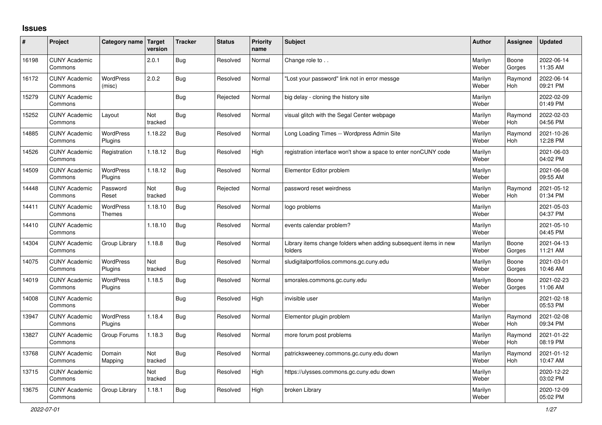## **Issues**

| #     | Project                         | Category name                     | <b>Target</b><br>version | <b>Tracker</b> | <b>Status</b> | <b>Priority</b><br>name | <b>Subject</b>                                                              | <b>Author</b>    | Assignee              | <b>Updated</b>         |
|-------|---------------------------------|-----------------------------------|--------------------------|----------------|---------------|-------------------------|-----------------------------------------------------------------------------|------------------|-----------------------|------------------------|
| 16198 | <b>CUNY Academic</b><br>Commons |                                   | 2.0.1                    | <b>Bug</b>     | Resolved      | Normal                  | Change role to                                                              | Marilyn<br>Weber | Boone<br>Gorges       | 2022-06-14<br>11:35 AM |
| 16172 | <b>CUNY Academic</b><br>Commons | <b>WordPress</b><br>(misc)        | 2.0.2                    | Bug            | Resolved      | Normal                  | Lost your password" link not in error messge                                | Marilyn<br>Weber | Raymond<br><b>Hoh</b> | 2022-06-14<br>09:21 PM |
| 15279 | <b>CUNY Academic</b><br>Commons |                                   |                          | <b>Bug</b>     | Rejected      | Normal                  | big delay - cloning the history site                                        | Marilyn<br>Weber |                       | 2022-02-09<br>01:49 PM |
| 15252 | <b>CUNY Academic</b><br>Commons | Layout                            | Not<br>tracked           | Bug            | Resolved      | Normal                  | visual glitch with the Segal Center webpage                                 | Marilyn<br>Weber | Raymond<br><b>Hoh</b> | 2022-02-03<br>04:56 PM |
| 14885 | <b>CUNY Academic</b><br>Commons | WordPress<br>Plugins              | 1.18.22                  | Bug            | Resolved      | Normal                  | Long Loading Times -- Wordpress Admin Site                                  | Marilyn<br>Weber | Raymond<br><b>Hoh</b> | 2021-10-26<br>12:28 PM |
| 14526 | <b>CUNY Academic</b><br>Commons | Registration                      | 1.18.12                  | Bug            | Resolved      | High                    | registration interface won't show a space to enter nonCUNY code             | Marilyn<br>Weber |                       | 2021-06-03<br>04:02 PM |
| 14509 | <b>CUNY Academic</b><br>Commons | <b>WordPress</b><br>Plugins       | 1.18.12                  | <b>Bug</b>     | Resolved      | Normal                  | Elementor Editor problem                                                    | Marilyn<br>Weber |                       | 2021-06-08<br>09:55 AM |
| 14448 | <b>CUNY Academic</b><br>Commons | Password<br>Reset                 | Not<br>tracked           | <b>Bug</b>     | Rejected      | Normal                  | password reset weirdness                                                    | Marilyn<br>Weber | Raymond<br><b>Hoh</b> | 2021-05-12<br>01:34 PM |
| 14411 | <b>CUNY Academic</b><br>Commons | <b>WordPress</b><br><b>Themes</b> | 1.18.10                  | <b>Bug</b>     | Resolved      | Normal                  | logo problems                                                               | Marilyn<br>Weber |                       | 2021-05-03<br>04:37 PM |
| 14410 | <b>CUNY Academic</b><br>Commons |                                   | 1.18.10                  | <b>Bug</b>     | Resolved      | Normal                  | events calendar problem?                                                    | Marilyn<br>Weber |                       | 2021-05-10<br>04:45 PM |
| 14304 | <b>CUNY Academic</b><br>Commons | Group Library                     | 1.18.8                   | <b>Bug</b>     | Resolved      | Normal                  | Library items change folders when adding subsequent items in new<br>folders | Marilyn<br>Weber | Boone<br>Gorges       | 2021-04-13<br>11:21 AM |
| 14075 | <b>CUNY Academic</b><br>Commons | WordPress<br>Plugins              | Not<br>tracked           | Bug            | Resolved      | Normal                  | sludigitalportfolios.commons.gc.cuny.edu                                    | Marilyn<br>Weber | Boone<br>Gorges       | 2021-03-01<br>10:46 AM |
| 14019 | <b>CUNY Academic</b><br>Commons | <b>WordPress</b><br>Plugins       | 1.18.5                   | Bug            | Resolved      | Normal                  | smorales.commons.gc.cuny.edu                                                | Marilyn<br>Weber | Boone<br>Gorges       | 2021-02-23<br>11:06 AM |
| 14008 | <b>CUNY Academic</b><br>Commons |                                   |                          | Bug            | Resolved      | High                    | invisible user                                                              | Marilyn<br>Weber |                       | 2021-02-18<br>05:53 PM |
| 13947 | <b>CUNY Academic</b><br>Commons | <b>WordPress</b><br>Plugins       | 1.18.4                   | Bug            | Resolved      | Normal                  | Elementor plugin problem                                                    | Marilyn<br>Weber | Raymond<br><b>Hoh</b> | 2021-02-08<br>09:34 PM |
| 13827 | <b>CUNY Academic</b><br>Commons | Group Forums                      | 1.18.3                   | <b>Bug</b>     | Resolved      | Normal                  | more forum post problems                                                    | Marilyn<br>Weber | Raymond<br><b>Hoh</b> | 2021-01-22<br>08:19 PM |
| 13768 | <b>CUNY Academic</b><br>Commons | Domain<br>Mapping                 | Not<br>tracked           | <b>Bug</b>     | Resolved      | Normal                  | patricksweeney.commons.gc.cuny.edu down                                     | Marilyn<br>Weber | Raymond<br><b>Hoh</b> | 2021-01-12<br>10:47 AM |
| 13715 | <b>CUNY Academic</b><br>Commons |                                   | Not<br>tracked           | <b>Bug</b>     | Resolved      | High                    | https://ulysses.commons.gc.cuny.edu down                                    | Marilyn<br>Weber |                       | 2020-12-22<br>03:02 PM |
| 13675 | <b>CUNY Academic</b><br>Commons | Group Library                     | 1.18.1                   | Bug            | Resolved      | High                    | broken Library                                                              | Marilyn<br>Weber |                       | 2020-12-09<br>05:02 PM |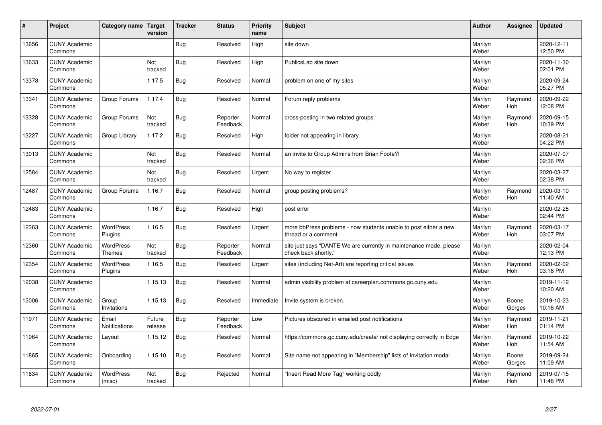| #     | Project                         | Category name   Target            | version           | <b>Tracker</b> | <b>Status</b>        | <b>Priority</b><br>name | <b>Subject</b>                                                                             | <b>Author</b>    | Assignee              | <b>Updated</b>         |
|-------|---------------------------------|-----------------------------------|-------------------|----------------|----------------------|-------------------------|--------------------------------------------------------------------------------------------|------------------|-----------------------|------------------------|
| 13656 | <b>CUNY Academic</b><br>Commons |                                   |                   | Bug            | Resolved             | High                    | site down                                                                                  | Marilyn<br>Weber |                       | 2020-12-11<br>12:50 PM |
| 13633 | <b>CUNY Academic</b><br>Commons |                                   | Not<br>tracked    | Bug            | Resolved             | High                    | PublicsLab site down                                                                       | Marilyn<br>Weber |                       | 2020-11-30<br>02:01 PM |
| 13378 | <b>CUNY Academic</b><br>Commons |                                   | 1.17.5            | Bug            | Resolved             | Normal                  | problem on one of my sites                                                                 | Marilyn<br>Weber |                       | 2020-09-24<br>05:27 PM |
| 13341 | <b>CUNY Academic</b><br>Commons | Group Forums                      | 1.17.4            | <b>Bug</b>     | Resolved             | Normal                  | Forum reply problems                                                                       | Marilyn<br>Weber | Raymond<br>Hoh        | 2020-09-22<br>12:08 PM |
| 13328 | <b>CUNY Academic</b><br>Commons | Group Forums                      | Not<br>tracked    | Bug            | Reporter<br>Feedback | Normal                  | cross-posting in two related groups                                                        | Marilyn<br>Weber | Raymond<br><b>Hoh</b> | 2020-09-15<br>10:39 PM |
| 13227 | <b>CUNY Academic</b><br>Commons | Group Library                     | 1.17.2            | Bug            | Resolved             | High                    | folder not appearing in library                                                            | Marilyn<br>Weber |                       | 2020-08-21<br>04:22 PM |
| 13013 | <b>CUNY Academic</b><br>Commons |                                   | Not<br>tracked    | Bug            | Resolved             | Normal                  | an invite to Group Admins from Brian Foote?!                                               | Marilyn<br>Weber |                       | 2020-07-07<br>02:36 PM |
| 12584 | <b>CUNY Academic</b><br>Commons |                                   | Not<br>tracked    | Bug            | Resolved             | Urgent                  | No way to register                                                                         | Marilyn<br>Weber |                       | 2020-03-27<br>02:38 PM |
| 12487 | <b>CUNY Academic</b><br>Commons | Group Forums                      | 1.16.7            | <b>Bug</b>     | Resolved             | Normal                  | group posting problems?                                                                    | Marilyn<br>Weber | Raymond<br><b>Hoh</b> | 2020-03-10<br>11:40 AM |
| 12483 | <b>CUNY Academic</b><br>Commons |                                   | 1.16.7            | Bug            | Resolved             | High                    | post error                                                                                 | Marilyn<br>Weber |                       | 2020-02-28<br>02:44 PM |
| 12363 | <b>CUNY Academic</b><br>Commons | <b>WordPress</b><br>Plugins       | 1.16.5            | Bug            | Resolved             | Urgent                  | more bbPress problems - now students unable to post either a new<br>thread or a comment    | Marilyn<br>Weber | Raymond<br>Hoh        | 2020-03-17<br>03:07 PM |
| 12360 | <b>CUNY Academic</b><br>Commons | <b>WordPress</b><br><b>Themes</b> | Not<br>tracked    | Bug            | Reporter<br>Feedback | Normal                  | site just says "DANTE We are currently in maintenance mode, please<br>check back shortly." | Marilyn<br>Weber |                       | 2020-02-04<br>12:13 PM |
| 12354 | <b>CUNY Academic</b><br>Commons | <b>WordPress</b><br>Plugins       | 1.16.5            | Bug            | Resolved             | Urgent                  | sites (including Net-Art) are reporting critical issues                                    | Marilyn<br>Weber | Raymond<br>Hoh        | 2020-02-02<br>03:16 PM |
| 12038 | <b>CUNY Academic</b><br>Commons |                                   | 1.15.13           | Bug            | Resolved             | Normal                  | admin visibility problem at careerplan.commons.gc.cuny.edu                                 | Marilyn<br>Weber |                       | 2019-11-12<br>10:20 AM |
| 12006 | <b>CUNY Academic</b><br>Commons | Group<br>Invitations              | 1.15.13           | Bug            | Resolved             | Immediate               | Invite system is broken.                                                                   | Marilyn<br>Weber | Boone<br>Gorges       | 2019-10-23<br>10:16 AM |
| 11971 | <b>CUNY Academic</b><br>Commons | Email<br>Notifications            | Future<br>release | Bug            | Reporter<br>Feedback | Low                     | Pictures obscured in emailed post notifications                                            | Marilyn<br>Weber | Raymond<br><b>Hoh</b> | 2019-11-21<br>01:14 PM |
| 11964 | <b>CUNY Academic</b><br>Commons | Layout                            | 1.15.12           | Bug            | Resolved             | Normal                  | https://commons.gc.cuny.edu/create/ not displaying correctly in Edge                       | Marilyn<br>Weber | Raymond<br><b>Hoh</b> | 2019-10-22<br>11:54 AM |
| 11865 | <b>CUNY Academic</b><br>Commons | Onboarding                        | 1.15.10           | Bug            | Resolved             | Normal                  | Site name not appearing in "Membership" lists of Invitation modal                          | Marilyn<br>Weber | Boone<br>Gorges       | 2019-09-24<br>11:09 AM |
| 11634 | <b>CUNY Academic</b><br>Commons | <b>WordPress</b><br>(misc)        | Not<br>tracked    | Bug            | Rejected             | Normal                  | 'Insert Read More Tag" working oddly                                                       | Marilyn<br>Weber | Raymond<br><b>Hoh</b> | 2019-07-15<br>11:48 PM |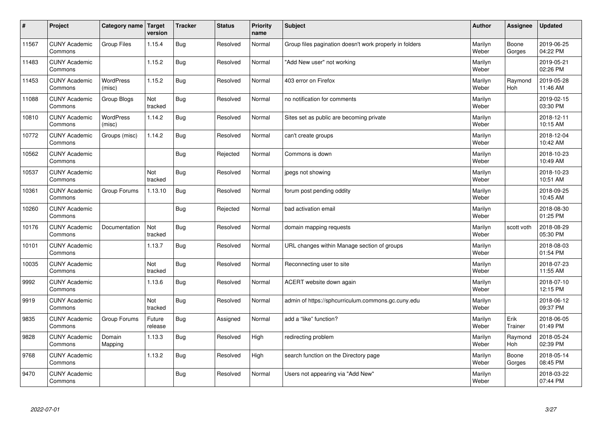| $\vert$ # | Project                         | Category name   Target     | version           | <b>Tracker</b> | <b>Status</b> | <b>Priority</b><br>name | <b>Subject</b>                                          | <b>Author</b>    | Assignee              | <b>Updated</b>         |
|-----------|---------------------------------|----------------------------|-------------------|----------------|---------------|-------------------------|---------------------------------------------------------|------------------|-----------------------|------------------------|
| 11567     | <b>CUNY Academic</b><br>Commons | Group Files                | 1.15.4            | Bug            | Resolved      | Normal                  | Group files pagination doesn't work properly in folders | Marilyn<br>Weber | Boone<br>Gorges       | 2019-06-25<br>04:22 PM |
| 11483     | <b>CUNY Academic</b><br>Commons |                            | 1.15.2            | Bug            | Resolved      | Normal                  | 'Add New user" not working                              | Marilyn<br>Weber |                       | 2019-05-21<br>02:26 PM |
| 11453     | <b>CUNY Academic</b><br>Commons | <b>WordPress</b><br>(misc) | 1.15.2            | Bug            | Resolved      | Normal                  | 403 error on Firefox                                    | Marilyn<br>Weber | Raymond<br><b>Hoh</b> | 2019-05-28<br>11:46 AM |
| 11088     | <b>CUNY Academic</b><br>Commons | Group Blogs                | Not<br>tracked    | Bug            | Resolved      | Normal                  | no notification for comments                            | Marilyn<br>Weber |                       | 2019-02-15<br>03:30 PM |
| 10810     | <b>CUNY Academic</b><br>Commons | <b>WordPress</b><br>(misc) | 1.14.2            | Bug            | Resolved      | Normal                  | Sites set as public are becoming private                | Marilyn<br>Weber |                       | 2018-12-11<br>10:15 AM |
| 10772     | <b>CUNY Academic</b><br>Commons | Groups (misc)              | 1.14.2            | Bug            | Resolved      | Normal                  | can't create groups                                     | Marilyn<br>Weber |                       | 2018-12-04<br>10:42 AM |
| 10562     | <b>CUNY Academic</b><br>Commons |                            |                   | Bug            | Rejected      | Normal                  | Commons is down                                         | Marilyn<br>Weber |                       | 2018-10-23<br>10:49 AM |
| 10537     | <b>CUNY Academic</b><br>Commons |                            | Not<br>tracked    | Bug            | Resolved      | Normal                  | jpegs not showing                                       | Marilyn<br>Weber |                       | 2018-10-23<br>10:51 AM |
| 10361     | <b>CUNY Academic</b><br>Commons | Group Forums               | 1.13.10           | Bug            | Resolved      | Normal                  | forum post pending oddity                               | Marilyn<br>Weber |                       | 2018-09-25<br>10:45 AM |
| 10260     | <b>CUNY Academic</b><br>Commons |                            |                   | Bug            | Rejected      | Normal                  | bad activation email                                    | Marilyn<br>Weber |                       | 2018-08-30<br>01:25 PM |
| 10176     | <b>CUNY Academic</b><br>Commons | Documentation              | Not<br>tracked    | Bug            | Resolved      | Normal                  | domain mapping requests                                 | Marilyn<br>Weber | scott voth            | 2018-08-29<br>05:30 PM |
| 10101     | <b>CUNY Academic</b><br>Commons |                            | 1.13.7            | <b>Bug</b>     | Resolved      | Normal                  | URL changes within Manage section of groups             | Marilyn<br>Weber |                       | 2018-08-03<br>01:54 PM |
| 10035     | <b>CUNY Academic</b><br>Commons |                            | Not<br>tracked    | Bug            | Resolved      | Normal                  | Reconnecting user to site                               | Marilyn<br>Weber |                       | 2018-07-23<br>11:55 AM |
| 9992      | <b>CUNY Academic</b><br>Commons |                            | 1.13.6            | Bug            | Resolved      | Normal                  | ACERT website down again                                | Marilyn<br>Weber |                       | 2018-07-10<br>12:15 PM |
| 9919      | <b>CUNY Academic</b><br>Commons |                            | Not<br>tracked    | Bug            | Resolved      | Normal                  | admin of https://sphcurriculum.commons.gc.cuny.edu      | Marilyn<br>Weber |                       | 2018-06-12<br>09:37 PM |
| 9835      | <b>CUNY Academic</b><br>Commons | Group Forums               | Future<br>release | Bug            | Assigned      | Normal                  | add a "like" function?                                  | Marilyn<br>Weber | Erik<br>Trainer       | 2018-06-05<br>01:49 PM |
| 9828      | <b>CUNY Academic</b><br>Commons | Domain<br>Mapping          | 1.13.3            | Bug            | Resolved      | High                    | redirecting problem                                     | Marilyn<br>Weber | Raymond<br>Hoh        | 2018-05-24<br>02:39 PM |
| 9768      | <b>CUNY Academic</b><br>Commons |                            | 1.13.2            | Bug            | Resolved      | High                    | search function on the Directory page                   | Marilyn<br>Weber | Boone<br>Gorges       | 2018-05-14<br>08:45 PM |
| 9470      | <b>CUNY Academic</b><br>Commons |                            |                   | Bug            | Resolved      | Normal                  | Users not appearing via "Add New"                       | Marilyn<br>Weber |                       | 2018-03-22<br>07:44 PM |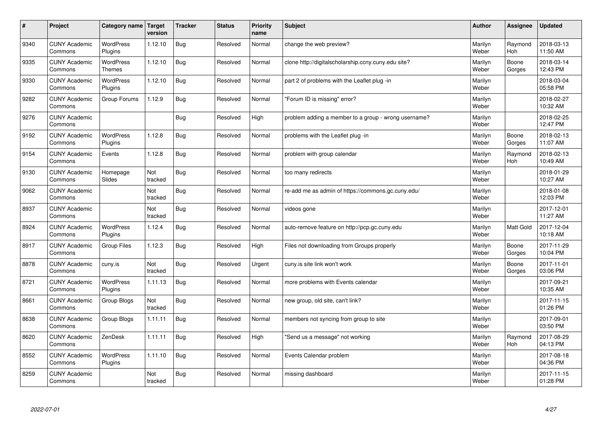| #    | Project                         | Category name   Target      | version        | <b>Tracker</b> | <b>Status</b> | <b>Priority</b><br>name | <b>Subject</b>                                       | <b>Author</b>    | <b>Assignee</b>       | <b>Updated</b>         |
|------|---------------------------------|-----------------------------|----------------|----------------|---------------|-------------------------|------------------------------------------------------|------------------|-----------------------|------------------------|
| 9340 | <b>CUNY Academic</b><br>Commons | <b>WordPress</b><br>Plugins | 1.12.10        | Bug            | Resolved      | Normal                  | change the web preview?                              | Marilyn<br>Weber | Raymond<br><b>Hoh</b> | 2018-03-13<br>11:50 AM |
| 9335 | <b>CUNY Academic</b><br>Commons | <b>WordPress</b><br>Themes  | 1.12.10        | Bug            | Resolved      | Normal                  | clone http://digitalscholarship.ccny.cuny.edu site?  | Marilyn<br>Weber | Boone<br>Gorges       | 2018-03-14<br>12:43 PM |
| 9330 | <b>CUNY Academic</b><br>Commons | <b>WordPress</b><br>Plugins | 1.12.10        | Bug            | Resolved      | Normal                  | part 2 of problems with the Leaflet plug-in          | Marilyn<br>Weber |                       | 2018-03-04<br>05:58 PM |
| 9282 | <b>CUNY Academic</b><br>Commons | Group Forums                | 1.12.9         | Bug            | Resolved      | Normal                  | 'Forum ID is missing" error?                         | Marilyn<br>Weber |                       | 2018-02-27<br>10:32 AM |
| 9276 | <b>CUNY Academic</b><br>Commons |                             |                | Bug            | Resolved      | High                    | problem adding a member to a group - wrong username? | Marilyn<br>Weber |                       | 2018-02-25<br>12:47 PM |
| 9192 | <b>CUNY Academic</b><br>Commons | <b>WordPress</b><br>Plugins | 1.12.8         | Bug            | Resolved      | Normal                  | problems with the Leaflet plug -in                   | Marilyn<br>Weber | Boone<br>Gorges       | 2018-02-13<br>11:07 AM |
| 9154 | <b>CUNY Academic</b><br>Commons | Events                      | 1.12.8         | Bug            | Resolved      | Normal                  | problem with group calendar                          | Marilyn<br>Weber | Raymond<br>Hoh        | 2018-02-13<br>10:49 AM |
| 9130 | <b>CUNY Academic</b><br>Commons | Homepage<br>Slides          | Not<br>tracked | <b>Bug</b>     | Resolved      | Normal                  | too many redirects                                   | Marilyn<br>Weber |                       | 2018-01-29<br>10:27 AM |
| 9062 | <b>CUNY Academic</b><br>Commons |                             | Not<br>tracked | Bug            | Resolved      | Normal                  | re-add me as admin of https://commons.gc.cuny.edu/   | Marilyn<br>Weber |                       | 2018-01-08<br>12:03 PM |
| 8937 | <b>CUNY Academic</b><br>Commons |                             | Not<br>tracked | Bug            | Resolved      | Normal                  | videos gone                                          | Marilyn<br>Weber |                       | 2017-12-01<br>11:27 AM |
| 8924 | <b>CUNY Academic</b><br>Commons | <b>WordPress</b><br>Plugins | 1.12.4         | Bug            | Resolved      | Normal                  | auto-remove feature on http://pcp.gc.cuny.edu        | Marilyn<br>Weber | <b>Matt Gold</b>      | 2017-12-04<br>10:18 AM |
| 8917 | <b>CUNY Academic</b><br>Commons | Group Files                 | 1.12.3         | Bug            | Resolved      | High                    | Files not downloading from Groups properly           | Marilyn<br>Weber | Boone<br>Gorges       | 2017-11-29<br>10:04 PM |
| 8878 | <b>CUNY Academic</b><br>Commons | cuny.is                     | Not<br>tracked | Bug            | Resolved      | Urgent                  | cuny is site link won't work                         | Marilyn<br>Weber | Boone<br>Gorges       | 2017-11-01<br>03:06 PM |
| 8721 | <b>CUNY Academic</b><br>Commons | <b>WordPress</b><br>Plugins | 1.11.13        | Bug            | Resolved      | Normal                  | more problems with Events calendar                   | Marilyn<br>Weber |                       | 2017-09-21<br>10:35 AM |
| 8661 | <b>CUNY Academic</b><br>Commons | Group Blogs                 | Not<br>tracked | Bug            | Resolved      | Normal                  | new group, old site, can't link?                     | Marilyn<br>Weber |                       | 2017-11-15<br>01:26 PM |
| 8638 | <b>CUNY Academic</b><br>Commons | Group Blogs                 | 1.11.11        | Bug            | Resolved      | Normal                  | members not syncing from group to site               | Marilyn<br>Weber |                       | 2017-09-01<br>03:50 PM |
| 8620 | <b>CUNY Academic</b><br>Commons | ZenDesk                     | 1.11.11        | Bug            | Resolved      | High                    | 'Send us a message" not working                      | Marilyn<br>Weber | Raymond<br><b>Hoh</b> | 2017-08-29<br>04:13 PM |
| 8552 | <b>CUNY Academic</b><br>Commons | <b>WordPress</b><br>Plugins | 1.11.10        | <b>Bug</b>     | Resolved      | Normal                  | Events Calendar problem                              | Marilyn<br>Weber |                       | 2017-08-18<br>04:36 PM |
| 8259 | <b>CUNY Academic</b><br>Commons |                             | Not<br>tracked | Bug            | Resolved      | Normal                  | missing dashboard                                    | Marilyn<br>Weber |                       | 2017-11-15<br>01:28 PM |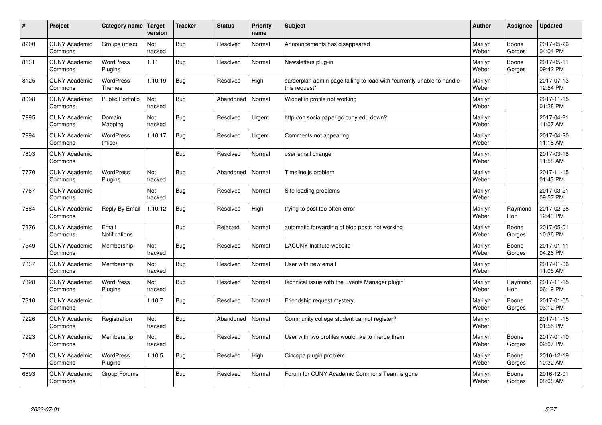| #    | Project                         | Category name   Target            | version        | <b>Tracker</b> | <b>Status</b> | <b>Priority</b><br>name | <b>Subject</b>                                                                          | <b>Author</b>    | Assignee              | <b>Updated</b>         |
|------|---------------------------------|-----------------------------------|----------------|----------------|---------------|-------------------------|-----------------------------------------------------------------------------------------|------------------|-----------------------|------------------------|
| 8200 | <b>CUNY Academic</b><br>Commons | Groups (misc)                     | Not<br>tracked | Bug            | Resolved      | Normal                  | Announcements has disappeared                                                           | Marilyn<br>Weber | Boone<br>Gorges       | 2017-05-26<br>04:04 PM |
| 8131 | <b>CUNY Academic</b><br>Commons | <b>WordPress</b><br>Plugins       | 1.11           | <b>Bug</b>     | Resolved      | Normal                  | Newsletters plug-in                                                                     | Marilyn<br>Weber | Boone<br>Gorges       | 2017-05-11<br>09:42 PM |
| 8125 | <b>CUNY Academic</b><br>Commons | <b>WordPress</b><br><b>Themes</b> | 1.10.19        | Bug            | Resolved      | High                    | careerplan admin page failing to load with "currently unable to handle<br>this request" | Marilyn<br>Weber |                       | 2017-07-13<br>12:54 PM |
| 8098 | <b>CUNY Academic</b><br>Commons | Public Portfolio                  | Not<br>tracked | <b>Bug</b>     | Abandoned     | Normal                  | Widget in profile not working                                                           | Marilyn<br>Weber |                       | 2017-11-15<br>01:28 PM |
| 7995 | <b>CUNY Academic</b><br>Commons | Domain<br>Mapping                 | Not<br>tracked | Bug            | Resolved      | Urgent                  | http://on.socialpaper.gc.cuny.edu down?                                                 | Marilyn<br>Weber |                       | 2017-04-21<br>11:07 AM |
| 7994 | <b>CUNY Academic</b><br>Commons | <b>WordPress</b><br>(misc)        | 1.10.17        | Bug            | Resolved      | Urgent                  | Comments not appearing                                                                  | Marilyn<br>Weber |                       | 2017-04-20<br>11:16 AM |
| 7803 | <b>CUNY Academic</b><br>Commons |                                   |                | Bug            | Resolved      | Normal                  | user email change                                                                       | Marilyn<br>Weber |                       | 2017-03-16<br>11:58 AM |
| 7770 | <b>CUNY Academic</b><br>Commons | WordPress<br>Plugins              | Not<br>tracked | Bug            | Abandoned     | Normal                  | Timeline.js problem                                                                     | Marilyn<br>Weber |                       | 2017-11-15<br>01:43 PM |
| 7767 | <b>CUNY Academic</b><br>Commons |                                   | Not<br>tracked | Bug            | Resolved      | Normal                  | Site loading problems                                                                   | Marilyn<br>Weber |                       | 2017-03-21<br>09:57 PM |
| 7684 | <b>CUNY Academic</b><br>Commons | Reply By Email                    | 1.10.12        | Bug            | Resolved      | High                    | trying to post too often error                                                          | Marilyn<br>Weber | Raymond<br><b>Hoh</b> | 2017-02-28<br>12:43 PM |
| 7376 | <b>CUNY Academic</b><br>Commons | Email<br><b>Notifications</b>     |                | Bug            | Rejected      | Normal                  | automatic forwarding of blog posts not working                                          | Marilyn<br>Weber | Boone<br>Gorges       | 2017-05-01<br>10:36 PM |
| 7349 | <b>CUNY Academic</b><br>Commons | Membership                        | Not<br>tracked | Bug            | Resolved      | Normal                  | <b>LACUNY Institute website</b>                                                         | Marilyn<br>Weber | Boone<br>Gorges       | 2017-01-11<br>04:26 PM |
| 7337 | <b>CUNY Academic</b><br>Commons | Membership                        | Not<br>tracked | Bug            | Resolved      | Normal                  | User with new email                                                                     | Marilyn<br>Weber |                       | 2017-01-06<br>11:05 AM |
| 7328 | <b>CUNY Academic</b><br>Commons | WordPress<br>Plugins              | Not<br>tracked | Bug            | Resolved      | Normal                  | technical issue with the Events Manager plugin                                          | Marilyn<br>Weber | Raymond<br><b>Hoh</b> | 2017-11-15<br>06:19 PM |
| 7310 | <b>CUNY Academic</b><br>Commons |                                   | 1.10.7         | Bug            | Resolved      | Normal                  | Friendship request mystery.                                                             | Marilyn<br>Weber | Boone<br>Gorges       | 2017-01-05<br>03:12 PM |
| 7226 | <b>CUNY Academic</b><br>Commons | Registration                      | Not<br>tracked | Bug            | Abandoned     | Normal                  | Community college student cannot register?                                              | Marilyn<br>Weber |                       | 2017-11-15<br>01:55 PM |
| 7223 | <b>CUNY Academic</b><br>Commons | Membership                        | Not<br>tracked | Bug            | Resolved      | Normal                  | User with two profiles would like to merge them                                         | Marilyn<br>Weber | Boone<br>Gorges       | 2017-01-10<br>02:07 PM |
| 7100 | <b>CUNY Academic</b><br>Commons | <b>WordPress</b><br>Plugins       | 1.10.5         | Bug            | Resolved      | High                    | Cincopa plugin problem                                                                  | Marilyn<br>Weber | Boone<br>Gorges       | 2016-12-19<br>10:32 AM |
| 6893 | <b>CUNY Academic</b><br>Commons | Group Forums                      |                | Bug            | Resolved      | Normal                  | Forum for CUNY Academic Commons Team is gone                                            | Marilyn<br>Weber | Boone<br>Gorges       | 2016-12-01<br>08:08 AM |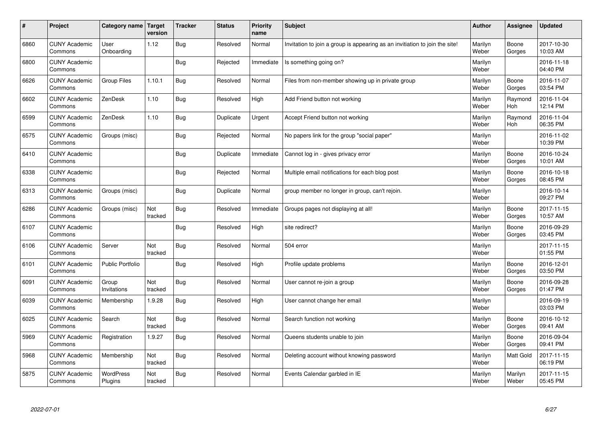| #    | Project                         | Category name   Target      | version        | <b>Tracker</b> | <b>Status</b> | <b>Priority</b><br>name | <b>Subject</b>                                                              | <b>Author</b>    | Assignee         | <b>Updated</b>         |
|------|---------------------------------|-----------------------------|----------------|----------------|---------------|-------------------------|-----------------------------------------------------------------------------|------------------|------------------|------------------------|
| 6860 | <b>CUNY Academic</b><br>Commons | User<br>Onboarding          | 1.12           | Bug            | Resolved      | Normal                  | Invitation to join a group is appearing as an invitiation to join the site! | Marilyn<br>Weber | Boone<br>Gorges  | 2017-10-30<br>10:03 AM |
| 6800 | <b>CUNY Academic</b><br>Commons |                             |                | Bug            | Rejected      | Immediate               | Is something going on?                                                      | Marilyn<br>Weber |                  | 2016-11-18<br>04:40 PM |
| 6626 | <b>CUNY Academic</b><br>Commons | <b>Group Files</b>          | 1.10.1         | Bug            | Resolved      | Normal                  | Files from non-member showing up in private group                           | Marilyn<br>Weber | Boone<br>Gorges  | 2016-11-07<br>03:54 PM |
| 6602 | <b>CUNY Academic</b><br>Commons | ZenDesk                     | 1.10           | Bug            | Resolved      | High                    | Add Friend button not working                                               | Marilyn<br>Weber | Raymond<br>Hoh   | 2016-11-04<br>12:14 PM |
| 6599 | <b>CUNY Academic</b><br>Commons | ZenDesk                     | 1.10           | Bug            | Duplicate     | Urgent                  | Accept Friend button not working                                            | Marilyn<br>Weber | Raymond<br>Hoh   | 2016-11-04<br>06:35 PM |
| 6575 | <b>CUNY Academic</b><br>Commons | Groups (misc)               |                | Bug            | Rejected      | Normal                  | No papers link for the group "social paper"                                 | Marilyn<br>Weber |                  | 2016-11-02<br>10:39 PM |
| 6410 | <b>CUNY Academic</b><br>Commons |                             |                | Bug            | Duplicate     | Immediate               | Cannot log in - gives privacy error                                         | Marilyn<br>Weber | Boone<br>Gorges  | 2016-10-24<br>10:01 AM |
| 6338 | <b>CUNY Academic</b><br>Commons |                             |                | Bug            | Rejected      | Normal                  | Multiple email notifications for each blog post                             | Marilyn<br>Weber | Boone<br>Gorges  | 2016-10-18<br>08:45 PM |
| 6313 | <b>CUNY Academic</b><br>Commons | Groups (misc)               |                | <b>Bug</b>     | Duplicate     | Normal                  | group member no longer in group, can't rejoin.                              | Marilyn<br>Weber |                  | 2016-10-14<br>09:27 PM |
| 6286 | <b>CUNY Academic</b><br>Commons | Groups (misc)               | Not<br>tracked | <b>Bug</b>     | Resolved      | Immediate               | Groups pages not displaying at all!                                         | Marilyn<br>Weber | Boone<br>Gorges  | 2017-11-15<br>10:57 AM |
| 6107 | <b>CUNY Academic</b><br>Commons |                             |                | Bug            | Resolved      | High                    | site redirect?                                                              | Marilyn<br>Weber | Boone<br>Gorges  | 2016-09-29<br>03:45 PM |
| 6106 | <b>CUNY Academic</b><br>Commons | Server                      | Not<br>tracked | Bug            | Resolved      | Normal                  | 504 error                                                                   | Marilyn<br>Weber |                  | 2017-11-15<br>01:55 PM |
| 6101 | <b>CUNY Academic</b><br>Commons | <b>Public Portfolio</b>     |                | Bug            | Resolved      | High                    | Profile update problems                                                     | Marilyn<br>Weber | Boone<br>Gorges  | 2016-12-01<br>03:50 PM |
| 6091 | <b>CUNY Academic</b><br>Commons | Group<br>Invitations        | Not<br>tracked | Bug            | Resolved      | Normal                  | User cannot re-join a group                                                 | Marilyn<br>Weber | Boone<br>Gorges  | 2016-09-28<br>01:47 PM |
| 6039 | <b>CUNY Academic</b><br>Commons | Membership                  | 1.9.28         | Bug            | Resolved      | High                    | User cannot change her email                                                | Marilyn<br>Weber |                  | 2016-09-19<br>03:03 PM |
| 6025 | <b>CUNY Academic</b><br>Commons | Search                      | Not<br>tracked | <b>Bug</b>     | Resolved      | Normal                  | Search function not working                                                 | Marilyn<br>Weber | Boone<br>Gorges  | 2016-10-12<br>09:41 AM |
| 5969 | <b>CUNY Academic</b><br>Commons | Registration                | 1.9.27         | Bug            | Resolved      | Normal                  | Queens students unable to join                                              | Marilyn<br>Weber | Boone<br>Gorges  | 2016-09-04<br>09:41 PM |
| 5968 | <b>CUNY Academic</b><br>Commons | Membership                  | Not<br>tracked | Bug            | Resolved      | Normal                  | Deleting account without knowing password                                   | Marilyn<br>Weber | <b>Matt Gold</b> | 2017-11-15<br>06:19 PM |
| 5875 | <b>CUNY Academic</b><br>Commons | <b>WordPress</b><br>Plugins | Not<br>tracked | Bug            | Resolved      | Normal                  | Events Calendar garbled in IE                                               | Marilyn<br>Weber | Marilyn<br>Weber | 2017-11-15<br>05:45 PM |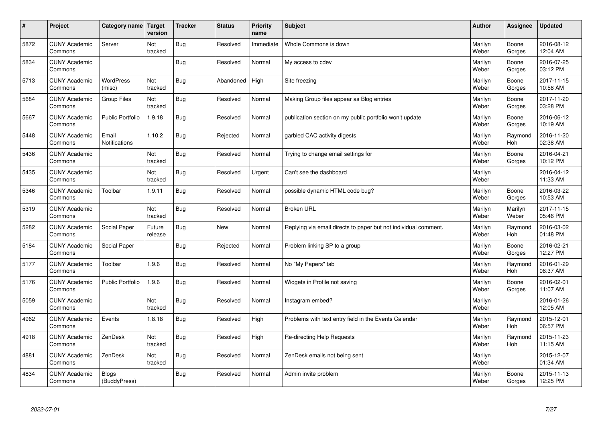| $\vert$ # | Project                         | Category name   Target        | version           | <b>Tracker</b> | <b>Status</b> | <b>Priority</b><br>name | <b>Subject</b>                                                  | <b>Author</b>    | Assignee         | <b>Updated</b>         |
|-----------|---------------------------------|-------------------------------|-------------------|----------------|---------------|-------------------------|-----------------------------------------------------------------|------------------|------------------|------------------------|
| 5872      | <b>CUNY Academic</b><br>Commons | Server                        | Not<br>tracked    | Bug            | Resolved      | Immediate               | Whole Commons is down                                           | Marilyn<br>Weber | Boone<br>Gorges  | 2016-08-12<br>12:04 AM |
| 5834      | <b>CUNY Academic</b><br>Commons |                               |                   | Bug            | Resolved      | Normal                  | My access to cdev                                               | Marilyn<br>Weber | Boone<br>Gorges  | 2016-07-25<br>03:12 PM |
| 5713      | <b>CUNY Academic</b><br>Commons | <b>WordPress</b><br>(misc)    | Not<br>tracked    | <b>Bug</b>     | Abandoned     | High                    | Site freezing                                                   | Marilyn<br>Weber | Boone<br>Gorges  | 2017-11-15<br>10:58 AM |
| 5684      | <b>CUNY Academic</b><br>Commons | <b>Group Files</b>            | Not<br>tracked    | Bug            | Resolved      | Normal                  | Making Group files appear as Blog entries                       | Marilyn<br>Weber | Boone<br>Gorges  | 2017-11-20<br>03:28 PM |
| 5667      | <b>CUNY Academic</b><br>Commons | <b>Public Portfolio</b>       | 1.9.18            | Bug            | Resolved      | Normal                  | publication section on my public portfolio won't update         | Marilyn<br>Weber | Boone<br>Gorges  | 2016-06-12<br>10:19 AM |
| 5448      | <b>CUNY Academic</b><br>Commons | Email<br><b>Notifications</b> | 1.10.2            | Bug            | Rejected      | Normal                  | garbled CAC activity digests                                    | Marilyn<br>Weber | Raymond<br>Hoh   | 2016-11-20<br>02:38 AM |
| 5436      | <b>CUNY Academic</b><br>Commons |                               | Not<br>tracked    | Bug            | Resolved      | Normal                  | Trying to change email settings for                             | Marilyn<br>Weber | Boone<br>Gorges  | 2016-04-21<br>10:12 PM |
| 5435      | <b>CUNY Academic</b><br>Commons |                               | Not<br>tracked    | <b>Bug</b>     | Resolved      | Urgent                  | Can't see the dashboard                                         | Marilyn<br>Weber |                  | 2016-04-12<br>11:33 AM |
| 5346      | <b>CUNY Academic</b><br>Commons | Toolbar                       | 1.9.11            | Bug            | Resolved      | Normal                  | possible dynamic HTML code bug?                                 | Marilyn<br>Weber | Boone<br>Gorges  | 2016-03-22<br>10:53 AM |
| 5319      | <b>CUNY Academic</b><br>Commons |                               | Not<br>tracked    | Bug            | Resolved      | Normal                  | <b>Broken URL</b>                                               | Marilyn<br>Weber | Marilyn<br>Weber | 2017-11-15<br>05:46 PM |
| 5282      | <b>CUNY Academic</b><br>Commons | Social Paper                  | Future<br>release | <b>Bug</b>     | New           | Normal                  | Replying via email directs to paper but not individual comment. | Marilyn<br>Weber | Raymond<br>Hoh   | 2016-03-02<br>01:48 PM |
| 5184      | <b>CUNY Academic</b><br>Commons | Social Paper                  |                   | <b>Bug</b>     | Rejected      | Normal                  | Problem linking SP to a group                                   | Marilyn<br>Weber | Boone<br>Gorges  | 2016-02-21<br>12:27 PM |
| 5177      | <b>CUNY Academic</b><br>Commons | Toolbar                       | 1.9.6             | Bug            | Resolved      | Normal                  | No "My Papers" tab                                              | Marilyn<br>Weber | Raymond<br>Hoh   | 2016-01-29<br>08:37 AM |
| 5176      | <b>CUNY Academic</b><br>Commons | <b>Public Portfolio</b>       | 1.9.6             | Bug            | Resolved      | Normal                  | Widgets in Profile not saving                                   | Marilyn<br>Weber | Boone<br>Gorges  | 2016-02-01<br>11:07 AM |
| 5059      | <b>CUNY Academic</b><br>Commons |                               | Not<br>tracked    | <b>Bug</b>     | Resolved      | Normal                  | Instagram embed?                                                | Marilyn<br>Weber |                  | 2016-01-26<br>12:05 AM |
| 4962      | <b>CUNY Academic</b><br>Commons | Events                        | 1.8.18            | Bug            | Resolved      | High                    | Problems with text entry field in the Events Calendar           | Marilyn<br>Weber | Raymond<br>Hoh   | 2015-12-01<br>06:57 PM |
| 4918      | <b>CUNY Academic</b><br>Commons | ZenDesk                       | Not<br>tracked    | <b>Bug</b>     | Resolved      | High                    | Re-directing Help Requests                                      | Marilyn<br>Weber | Raymond<br>Hoh   | 2015-11-23<br>11:15 AM |
| 4881      | <b>CUNY Academic</b><br>Commons | ZenDesk                       | Not<br>tracked    | <b>Bug</b>     | Resolved      | Normal                  | ZenDesk emails not being sent                                   | Marilyn<br>Weber |                  | 2015-12-07<br>01:34 AM |
| 4834      | <b>CUNY Academic</b><br>Commons | <b>Blogs</b><br>(BuddyPress)  |                   | Bug            | Resolved      | Normal                  | Admin invite problem                                            | Marilyn<br>Weber | Boone<br>Gorges  | 2015-11-13<br>12:25 PM |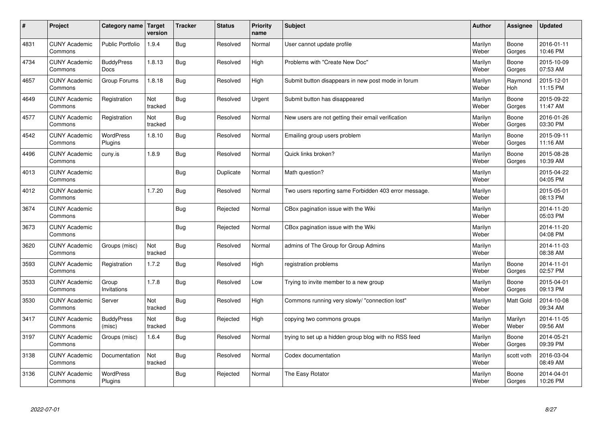| $\sharp$ | Project                         | Category name   Target      | version        | <b>Tracker</b> | <b>Status</b> | Priority<br>name | <b>Subject</b>                                        | <b>Author</b>    | Assignee              | <b>Updated</b>         |
|----------|---------------------------------|-----------------------------|----------------|----------------|---------------|------------------|-------------------------------------------------------|------------------|-----------------------|------------------------|
| 4831     | <b>CUNY Academic</b><br>Commons | <b>Public Portfolio</b>     | 1.9.4          | Bug            | Resolved      | Normal           | User cannot update profile                            | Marilyn<br>Weber | Boone<br>Gorges       | 2016-01-11<br>10:46 PM |
| 4734     | <b>CUNY Academic</b><br>Commons | <b>BuddyPress</b><br>Docs   | 1.8.13         | Bug            | Resolved      | High             | Problems with "Create New Doc"                        | Marilyn<br>Weber | Boone<br>Gorges       | 2015-10-09<br>07:53 AM |
| 4657     | <b>CUNY Academic</b><br>Commons | Group Forums                | 1.8.18         | Bug            | Resolved      | High             | Submit button disappears in new post mode in forum    | Marilyn<br>Weber | Raymond<br><b>Hoh</b> | 2015-12-01<br>11:15 PM |
| 4649     | <b>CUNY Academic</b><br>Commons | Registration                | Not<br>tracked | Bug            | Resolved      | Urgent           | Submit button has disappeared                         | Marilyn<br>Weber | Boone<br>Gorges       | 2015-09-22<br>11:47 AM |
| 4577     | <b>CUNY Academic</b><br>Commons | Registration                | Not<br>tracked | Bug            | Resolved      | Normal           | New users are not getting their email verification    | Marilyn<br>Weber | Boone<br>Gorges       | 2016-01-26<br>03:30 PM |
| 4542     | <b>CUNY Academic</b><br>Commons | <b>WordPress</b><br>Plugins | 1.8.10         | Bug            | Resolved      | Normal           | Emailing group users problem                          | Marilyn<br>Weber | Boone<br>Gorges       | 2015-09-11<br>11:16 AM |
| 4496     | <b>CUNY Academic</b><br>Commons | cuny.is                     | 1.8.9          | Bug            | Resolved      | Normal           | Quick links broken?                                   | Marilyn<br>Weber | Boone<br>Gorges       | 2015-08-28<br>10:39 AM |
| 4013     | <b>CUNY Academic</b><br>Commons |                             |                | Bug            | Duplicate     | Normal           | Math question?                                        | Marilyn<br>Weber |                       | 2015-04-22<br>04:05 PM |
| 4012     | <b>CUNY Academic</b><br>Commons |                             | 1.7.20         | Bug            | Resolved      | Normal           | Two users reporting same Forbidden 403 error message. | Marilyn<br>Weber |                       | 2015-05-01<br>08:13 PM |
| 3674     | <b>CUNY Academic</b><br>Commons |                             |                | Bug            | Rejected      | Normal           | CBox pagination issue with the Wiki                   | Marilyn<br>Weber |                       | 2014-11-20<br>05:03 PM |
| 3673     | <b>CUNY Academic</b><br>Commons |                             |                | Bug            | Rejected      | Normal           | CBox pagination issue with the Wiki                   | Marilyn<br>Weber |                       | 2014-11-20<br>04:08 PM |
| 3620     | <b>CUNY Academic</b><br>Commons | Groups (misc)               | Not<br>tracked | Bug            | Resolved      | Normal           | admins of The Group for Group Admins                  | Marilyn<br>Weber |                       | 2014-11-03<br>08:38 AM |
| 3593     | <b>CUNY Academic</b><br>Commons | Registration                | 1.7.2          | <b>Bug</b>     | Resolved      | High             | registration problems                                 | Marilyn<br>Weber | Boone<br>Gorges       | 2014-11-01<br>02:57 PM |
| 3533     | <b>CUNY Academic</b><br>Commons | Group<br>Invitations        | 1.7.8          | Bug            | Resolved      | Low              | Trying to invite member to a new group                | Marilyn<br>Weber | Boone<br>Gorges       | 2015-04-01<br>09:13 PM |
| 3530     | <b>CUNY Academic</b><br>Commons | Server                      | Not<br>tracked | Bug            | Resolved      | High             | Commons running very slowly/ "connection lost"        | Marilyn<br>Weber | Matt Gold             | 2014-10-08<br>09:34 AM |
| 3417     | <b>CUNY Academic</b><br>Commons | <b>BuddyPress</b><br>(misc) | Not<br>tracked | Bug            | Rejected      | High             | copying two commons groups                            | Marilyn<br>Weber | Marilyn<br>Weber      | 2014-11-05<br>09:56 AM |
| 3197     | <b>CUNY Academic</b><br>Commons | Groups (misc)               | 1.6.4          | Bug            | Resolved      | Normal           | trying to set up a hidden group blog with no RSS feed | Marilyn<br>Weber | Boone<br>Gorges       | 2014-05-21<br>09:39 PM |
| 3138     | <b>CUNY Academic</b><br>Commons | Documentation               | Not<br>tracked | Bug            | Resolved      | Normal           | Codex documentation                                   | Marilyn<br>Weber | scott voth            | 2016-03-04<br>08:49 AM |
| 3136     | <b>CUNY Academic</b><br>Commons | <b>WordPress</b><br>Plugins |                | Bug            | Rejected      | Normal           | The Easy Rotator                                      | Marilyn<br>Weber | Boone<br>Gorges       | 2014-04-01<br>10:26 PM |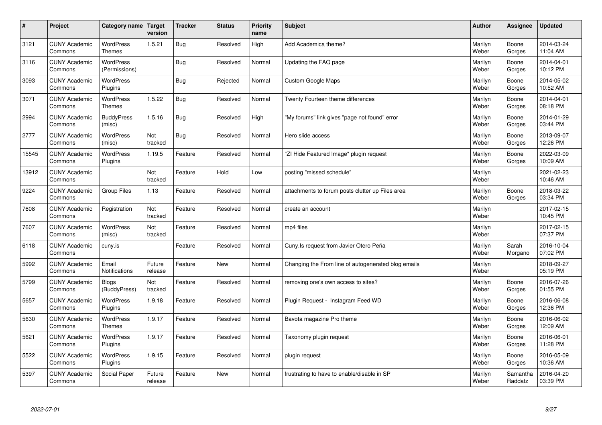| $\sharp$ | Project                         | Category name   Target            | version           | <b>Tracker</b> | <b>Status</b> | <b>Priority</b><br>name | <b>Subject</b>                                      | <b>Author</b>    | Assignee            | <b>Updated</b>         |
|----------|---------------------------------|-----------------------------------|-------------------|----------------|---------------|-------------------------|-----------------------------------------------------|------------------|---------------------|------------------------|
| 3121     | <b>CUNY Academic</b><br>Commons | <b>WordPress</b><br><b>Themes</b> | 1.5.21            | Bug            | Resolved      | High                    | Add Academica theme?                                | Marilyn<br>Weber | Boone<br>Gorges     | 2014-03-24<br>11:04 AM |
| 3116     | <b>CUNY Academic</b><br>Commons | <b>WordPress</b><br>(Permissions) |                   | Bug            | Resolved      | Normal                  | Updating the FAQ page                               | Marilyn<br>Weber | Boone<br>Gorges     | 2014-04-01<br>10:12 PM |
| 3093     | <b>CUNY Academic</b><br>Commons | <b>WordPress</b><br>Plugins       |                   | Bug            | Rejected      | Normal                  | Custom Google Maps                                  | Marilyn<br>Weber | Boone<br>Gorges     | 2014-05-02<br>10:52 AM |
| 3071     | <b>CUNY Academic</b><br>Commons | <b>WordPress</b><br><b>Themes</b> | 1.5.22            | Bug            | Resolved      | Normal                  | Twenty Fourteen theme differences                   | Marilyn<br>Weber | Boone<br>Gorges     | 2014-04-01<br>08:18 PM |
| 2994     | <b>CUNY Academic</b><br>Commons | <b>BuddyPress</b><br>(misc)       | 1.5.16            | Bug            | Resolved      | High                    | "My forums" link gives "page not found" error       | Marilyn<br>Weber | Boone<br>Gorges     | 2014-01-29<br>03:44 PM |
| 2777     | <b>CUNY Academic</b><br>Commons | WordPress<br>(misc)               | Not<br>tracked    | Bug            | Resolved      | Normal                  | Hero slide access                                   | Marilyn<br>Weber | Boone<br>Gorges     | 2013-09-07<br>12:26 PM |
| 15545    | <b>CUNY Academic</b><br>Commons | WordPress<br>Plugins              | 1.19.5            | Feature        | Resolved      | Normal                  | 'ZI Hide Featured Image" plugin request             | Marilyn<br>Weber | Boone<br>Gorges     | 2022-03-09<br>10:09 AM |
| 13912    | <b>CUNY Academic</b><br>Commons |                                   | Not<br>tracked    | Feature        | Hold          | Low                     | posting "missed schedule"                           | Marilyn<br>Weber |                     | 2021-02-23<br>10:46 AM |
| 9224     | <b>CUNY Academic</b><br>Commons | Group Files                       | 1.13              | Feature        | Resolved      | Normal                  | attachments to forum posts clutter up Files area    | Marilyn<br>Weber | Boone<br>Gorges     | 2018-03-22<br>03:34 PM |
| 7608     | <b>CUNY Academic</b><br>Commons | Registration                      | Not<br>tracked    | Feature        | Resolved      | Normal                  | create an account                                   | Marilyn<br>Weber |                     | 2017-02-15<br>10:45 PM |
| 7607     | <b>CUNY Academic</b><br>Commons | WordPress<br>(misc)               | Not<br>tracked    | Feature        | Resolved      | Normal                  | mp4 files                                           | Marilyn<br>Weber |                     | 2017-02-15<br>07:37 PM |
| 6118     | <b>CUNY Academic</b><br>Commons | cuny.is                           |                   | Feature        | Resolved      | Normal                  | Cuny. Is request from Javier Otero Peña             | Marilyn<br>Weber | Sarah<br>Morgano    | 2016-10-04<br>07:02 PM |
| 5992     | <b>CUNY Academic</b><br>Commons | Email<br>Notifications            | Future<br>release | Feature        | <b>New</b>    | Normal                  | Changing the From line of autogenerated blog emails | Marilyn<br>Weber |                     | 2018-09-27<br>05:19 PM |
| 5799     | <b>CUNY Academic</b><br>Commons | <b>Blogs</b><br>(BuddyPress)      | Not<br>tracked    | Feature        | Resolved      | Normal                  | removing one's own access to sites?                 | Marilyn<br>Weber | Boone<br>Gorges     | 2016-07-26<br>01:55 PM |
| 5657     | <b>CUNY Academic</b><br>Commons | WordPress<br>Plugins              | 1.9.18            | Feature        | Resolved      | Normal                  | Plugin Request - Instagram Feed WD                  | Marilyn<br>Weber | Boone<br>Gorges     | 2016-06-08<br>12:36 PM |
| 5630     | <b>CUNY Academic</b><br>Commons | WordPress<br><b>Themes</b>        | 1.9.17            | Feature        | Resolved      | Normal                  | Bavota magazine Pro theme                           | Marilyn<br>Weber | Boone<br>Gorges     | 2016-06-02<br>12:09 AM |
| 5621     | <b>CUNY Academic</b><br>Commons | WordPress<br>Plugins              | 1.9.17            | Feature        | Resolved      | Normal                  | Taxonomy plugin request                             | Marilyn<br>Weber | Boone<br>Gorges     | 2016-06-01<br>11:28 PM |
| 5522     | <b>CUNY Academic</b><br>Commons | WordPress<br>Plugins              | 1.9.15            | Feature        | Resolved      | Normal                  | plugin request                                      | Marilyn<br>Weber | Boone<br>Gorges     | 2016-05-09<br>10:36 AM |
| 5397     | <b>CUNY Academic</b><br>Commons | Social Paper                      | Future<br>release | Feature        | <b>New</b>    | Normal                  | frustrating to have to enable/disable in SP         | Marilyn<br>Weber | Samantha<br>Raddatz | 2016-04-20<br>03:39 PM |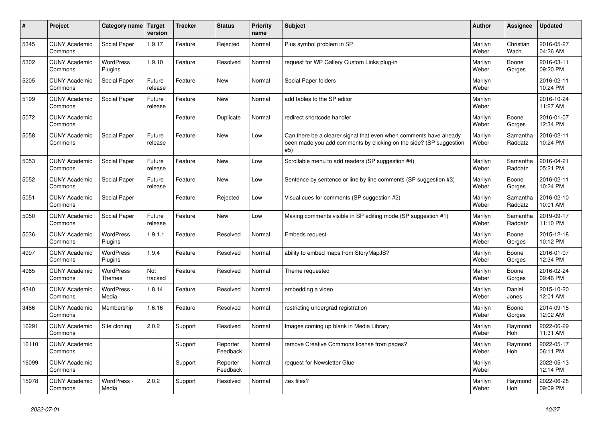| $\sharp$ | Project                         | Category name               | Target<br>version | <b>Tracker</b> | <b>Status</b>        | <b>Priority</b><br>name | <b>Subject</b>                                                                                                                                  | <b>Author</b>    | Assignee              | <b>Updated</b>         |
|----------|---------------------------------|-----------------------------|-------------------|----------------|----------------------|-------------------------|-------------------------------------------------------------------------------------------------------------------------------------------------|------------------|-----------------------|------------------------|
| 5345     | <b>CUNY Academic</b><br>Commons | Social Paper                | 1.9.17            | Feature        | Rejected             | Normal                  | Plus symbol problem in SP                                                                                                                       | Marilyn<br>Weber | Christian<br>Wach     | 2016-05-27<br>04:26 AM |
| 5302     | <b>CUNY Academic</b><br>Commons | <b>WordPress</b><br>Plugins | 1.9.10            | Feature        | Resolved             | Normal                  | request for WP Gallery Custom Links plug-in                                                                                                     | Marilyn<br>Weber | Boone<br>Gorges       | 2016-03-11<br>09:20 PM |
| 5205     | <b>CUNY Academic</b><br>Commons | Social Paper                | Future<br>release | Feature        | <b>New</b>           | Normal                  | Social Paper folders                                                                                                                            | Marilyn<br>Weber |                       | 2016-02-11<br>10:24 PM |
| 5199     | <b>CUNY Academic</b><br>Commons | Social Paper                | Future<br>release | Feature        | <b>New</b>           | Normal                  | add tables to the SP editor                                                                                                                     | Marilyn<br>Weber |                       | 2016-10-24<br>11:27 AM |
| 5072     | <b>CUNY Academic</b><br>Commons |                             |                   | Feature        | Duplicate            | Normal                  | redirect shortcode handler                                                                                                                      | Marilyn<br>Weber | Boone<br>Gorges       | 2016-01-07<br>12:34 PM |
| 5058     | <b>CUNY Academic</b><br>Commons | Social Paper                | Future<br>release | Feature        | <b>New</b>           | Low                     | Can there be a clearer signal that even when comments have already<br>been made you add comments by clicking on the side? (SP suggestion<br>#5) | Marilyn<br>Weber | Samantha<br>Raddatz   | 2016-02-11<br>10:24 PM |
| 5053     | <b>CUNY Academic</b><br>Commons | Social Paper                | Future<br>release | Feature        | New                  | Low                     | Scrollable menu to add readers (SP suggestion #4)                                                                                               | Marilyn<br>Weber | Samantha<br>Raddatz   | 2016-04-21<br>05:21 PM |
| 5052     | <b>CUNY Academic</b><br>Commons | Social Paper                | Future<br>release | Feature        | New                  | Low                     | Sentence by sentence or line by line comments (SP suggestion #3)                                                                                | Marilyn<br>Weber | Boone<br>Gorges       | 2016-02-11<br>10:24 PM |
| 5051     | <b>CUNY Academic</b><br>Commons | Social Paper                |                   | Feature        | Rejected             | Low                     | Visual cues for comments (SP suggestion #2)                                                                                                     | Marilyn<br>Weber | Samantha<br>Raddatz   | 2016-02-10<br>10:01 AM |
| 5050     | <b>CUNY Academic</b><br>Commons | Social Paper                | Future<br>release | Feature        | <b>New</b>           | Low                     | Making comments visible in SP editing mode (SP suggestion #1)                                                                                   | Marilyn<br>Weber | Samantha<br>Raddatz   | 2019-09-17<br>11:10 PM |
| 5036     | <b>CUNY Academic</b><br>Commons | WordPress<br>Plugins        | 1.9.1.1           | Feature        | Resolved             | Normal                  | Embeds request                                                                                                                                  | Marilyn<br>Weber | Boone<br>Gorges       | 2015-12-18<br>10:12 PM |
| 4997     | <b>CUNY Academic</b><br>Commons | <b>WordPress</b><br>Plugins | 1.9.4             | Feature        | Resolved             | Normal                  | ability to embed maps from StoryMapJS?                                                                                                          | Marilyn<br>Weber | Boone<br>Gorges       | 2016-01-07<br>12:34 PM |
| 4965     | <b>CUNY Academic</b><br>Commons | <b>WordPress</b><br>Themes  | Not<br>tracked    | Feature        | Resolved             | Normal                  | Theme requested                                                                                                                                 | Marilyn<br>Weber | Boone<br>Gorges       | 2016-02-24<br>09:46 PM |
| 4340     | <b>CUNY Academic</b><br>Commons | WordPress -<br>Media        | 1.8.14            | Feature        | Resolved             | Normal                  | embedding a video                                                                                                                               | Marilyn<br>Weber | Daniel<br>Jones       | 2015-10-20<br>12:01 AM |
| 3466     | <b>CUNY Academic</b><br>Commons | Membership                  | 1.6.16            | Feature        | Resolved             | Normal                  | restricting undergrad registration                                                                                                              | Marilyn<br>Weber | Boone<br>Gorges       | 2014-09-18<br>12:02 AM |
| 16291    | <b>CUNY Academic</b><br>Commons | Site cloning                | 2.0.2             | Support        | Resolved             | Normal                  | Images coming up blank in Media Library                                                                                                         | Marilyn<br>Weber | Raymond<br><b>Hoh</b> | 2022-06-29<br>11:31 AM |
| 16110    | <b>CUNY Academic</b><br>Commons |                             |                   | Support        | Reporter<br>Feedback | Normal                  | remove Creative Commons license from pages?                                                                                                     | Marilyn<br>Weber | Raymond<br><b>Hoh</b> | 2022-05-17<br>06:11 PM |
| 16099    | <b>CUNY Academic</b><br>Commons |                             |                   | Support        | Reporter<br>Feedback | Normal                  | request for Newsletter Glue                                                                                                                     | Marilyn<br>Weber |                       | 2022-05-13<br>12:14 PM |
| 15978    | <b>CUNY Academic</b><br>Commons | WordPress -<br>Media        | 2.0.2             | Support        | Resolved             | Normal                  | .tex files?                                                                                                                                     | Marilyn<br>Weber | Raymond<br>Hoh        | 2022-06-28<br>09:09 PM |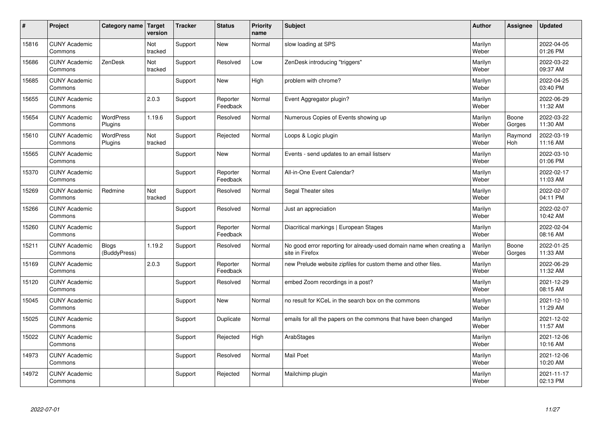| #     | Project                         | Category name   Target       | version        | <b>Tracker</b> | <b>Status</b>        | <b>Priority</b><br>name | <b>Subject</b>                                                                          | <b>Author</b>    | <b>Assignee</b> | <b>Updated</b>         |
|-------|---------------------------------|------------------------------|----------------|----------------|----------------------|-------------------------|-----------------------------------------------------------------------------------------|------------------|-----------------|------------------------|
| 15816 | <b>CUNY Academic</b><br>Commons |                              | Not<br>tracked | Support        | <b>New</b>           | Normal                  | slow loading at SPS                                                                     | Marilyn<br>Weber |                 | 2022-04-05<br>01:26 PM |
| 15686 | <b>CUNY Academic</b><br>Commons | ZenDesk                      | Not<br>tracked | Support        | Resolved             | Low                     | ZenDesk introducing "triggers"                                                          | Marilyn<br>Weber |                 | 2022-03-22<br>09:37 AM |
| 15685 | <b>CUNY Academic</b><br>Commons |                              |                | Support        | <b>New</b>           | High                    | problem with chrome?                                                                    | Marilyn<br>Weber |                 | 2022-04-25<br>03:40 PM |
| 15655 | <b>CUNY Academic</b><br>Commons |                              | 2.0.3          | Support        | Reporter<br>Feedback | Normal                  | Event Aggregator plugin?                                                                | Marilyn<br>Weber |                 | 2022-06-29<br>11:32 AM |
| 15654 | <b>CUNY Academic</b><br>Commons | <b>WordPress</b><br>Plugins  | 1.19.6         | Support        | Resolved             | Normal                  | Numerous Copies of Events showing up                                                    | Marilyn<br>Weber | Boone<br>Gorges | 2022-03-22<br>11:30 AM |
| 15610 | <b>CUNY Academic</b><br>Commons | <b>WordPress</b><br>Plugins  | Not<br>tracked | Support        | Rejected             | Normal                  | Loops & Logic plugin                                                                    | Marilyn<br>Weber | Raymond<br>Hoh  | 2022-03-19<br>11:16 AM |
| 15565 | <b>CUNY Academic</b><br>Commons |                              |                | Support        | <b>New</b>           | Normal                  | Events - send updates to an email listserv                                              | Marilyn<br>Weber |                 | 2022-03-10<br>01:06 PM |
| 15370 | <b>CUNY Academic</b><br>Commons |                              |                | Support        | Reporter<br>Feedback | Normal                  | All-in-One Event Calendar?                                                              | Marilyn<br>Weber |                 | 2022-02-17<br>11:03 AM |
| 15269 | <b>CUNY Academic</b><br>Commons | Redmine                      | Not<br>tracked | Support        | Resolved             | Normal                  | Segal Theater sites                                                                     | Marilyn<br>Weber |                 | 2022-02-07<br>04:11 PM |
| 15266 | <b>CUNY Academic</b><br>Commons |                              |                | Support        | Resolved             | Normal                  | Just an appreciation                                                                    | Marilyn<br>Weber |                 | 2022-02-07<br>10:42 AM |
| 15260 | <b>CUNY Academic</b><br>Commons |                              |                | Support        | Reporter<br>Feedback | Normal                  | Diacritical markings   European Stages                                                  | Marilyn<br>Weber |                 | 2022-02-04<br>08:16 AM |
| 15211 | <b>CUNY Academic</b><br>Commons | <b>Blogs</b><br>(BuddyPress) | 1.19.2         | Support        | Resolved             | Normal                  | No good error reporting for already-used domain name when creating a<br>site in Firefox | Marilyn<br>Weber | Boone<br>Gorges | 2022-01-25<br>11:33 AM |
| 15169 | <b>CUNY Academic</b><br>Commons |                              | 2.0.3          | Support        | Reporter<br>Feedback | Normal                  | new Prelude website zipfiles for custom theme and other files.                          | Marilyn<br>Weber |                 | 2022-06-29<br>11:32 AM |
| 15120 | <b>CUNY Academic</b><br>Commons |                              |                | Support        | Resolved             | Normal                  | embed Zoom recordings in a post?                                                        | Marilyn<br>Weber |                 | 2021-12-29<br>08:15 AM |
| 15045 | <b>CUNY Academic</b><br>Commons |                              |                | Support        | <b>New</b>           | Normal                  | no result for KCeL in the search box on the commons                                     | Marilyn<br>Weber |                 | 2021-12-10<br>11:29 AM |
| 15025 | <b>CUNY Academic</b><br>Commons |                              |                | Support        | Duplicate            | Normal                  | emails for all the papers on the commons that have been changed                         | Marilyn<br>Weber |                 | 2021-12-02<br>11:57 AM |
| 15022 | <b>CUNY Academic</b><br>Commons |                              |                | Support        | Rejected             | High                    | ArabStages                                                                              | Marilyn<br>Weber |                 | 2021-12-06<br>10:16 AM |
| 14973 | <b>CUNY Academic</b><br>Commons |                              |                | Support        | Resolved             | Normal                  | <b>Mail Poet</b>                                                                        | Marilyn<br>Weber |                 | 2021-12-06<br>10:20 AM |
| 14972 | <b>CUNY Academic</b><br>Commons |                              |                | Support        | Rejected             | Normal                  | Mailchimp plugin                                                                        | Marilyn<br>Weber |                 | 2021-11-17<br>02:13 PM |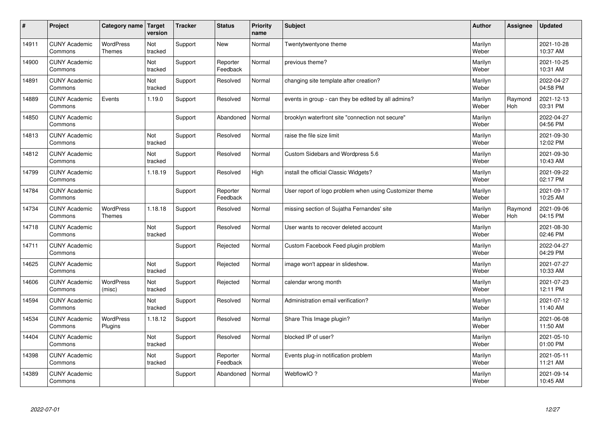| $\sharp$ | Project                         | Category name               | Target<br>version | <b>Tracker</b> | <b>Status</b>        | <b>Priority</b><br>name | <b>Subject</b>                                          | <b>Author</b>    | Assignee       | <b>Updated</b>         |
|----------|---------------------------------|-----------------------------|-------------------|----------------|----------------------|-------------------------|---------------------------------------------------------|------------------|----------------|------------------------|
| 14911    | <b>CUNY Academic</b><br>Commons | <b>WordPress</b><br>Themes  | Not<br>tracked    | Support        | <b>New</b>           | Normal                  | Twentytwentyone theme                                   | Marilyn<br>Weber |                | 2021-10-28<br>10:37 AM |
| 14900    | <b>CUNY Academic</b><br>Commons |                             | Not<br>tracked    | Support        | Reporter<br>Feedback | Normal                  | previous theme?                                         | Marilyn<br>Weber |                | 2021-10-25<br>10:31 AM |
| 14891    | <b>CUNY Academic</b><br>Commons |                             | Not<br>tracked    | Support        | Resolved             | Normal                  | changing site template after creation?                  | Marilyn<br>Weber |                | 2022-04-27<br>04:58 PM |
| 14889    | <b>CUNY Academic</b><br>Commons | Events                      | 1.19.0            | Support        | Resolved             | Normal                  | events in group - can they be edited by all admins?     | Marilyn<br>Weber | Raymond<br>Hoh | 2021-12-13<br>03:31 PM |
| 14850    | <b>CUNY Academic</b><br>Commons |                             |                   | Support        | Abandoned            | Normal                  | brooklyn waterfront site "connection not secure"        | Marilyn<br>Weber |                | 2022-04-27<br>04:56 PM |
| 14813    | <b>CUNY Academic</b><br>Commons |                             | Not<br>tracked    | Support        | Resolved             | Normal                  | raise the file size limit                               | Marilyn<br>Weber |                | 2021-09-30<br>12:02 PM |
| 14812    | <b>CUNY Academic</b><br>Commons |                             | Not<br>tracked    | Support        | Resolved             | Normal                  | Custom Sidebars and Wordpress 5.6                       | Marilyn<br>Weber |                | 2021-09-30<br>10:43 AM |
| 14799    | <b>CUNY Academic</b><br>Commons |                             | 1.18.19           | Support        | Resolved             | High                    | install the official Classic Widgets?                   | Marilyn<br>Weber |                | 2021-09-22<br>02:17 PM |
| 14784    | <b>CUNY Academic</b><br>Commons |                             |                   | Support        | Reporter<br>Feedback | Normal                  | User report of logo problem when using Customizer theme | Marilyn<br>Weber |                | 2021-09-17<br>10:25 AM |
| 14734    | <b>CUNY Academic</b><br>Commons | WordPress<br>Themes         | 1.18.18           | Support        | Resolved             | Normal                  | missing section of Sujatha Fernandes' site              | Marilyn<br>Weber | Raymond<br>Hoh | 2021-09-06<br>04:15 PM |
| 14718    | <b>CUNY Academic</b><br>Commons |                             | Not<br>tracked    | Support        | Resolved             | Normal                  | User wants to recover deleted account                   | Marilyn<br>Weber |                | 2021-08-30<br>02:46 PM |
| 14711    | <b>CUNY Academic</b><br>Commons |                             |                   | Support        | Rejected             | Normal                  | Custom Facebook Feed plugin problem                     | Marilyn<br>Weber |                | 2022-04-27<br>04:29 PM |
| 14625    | <b>CUNY Academic</b><br>Commons |                             | Not<br>tracked    | Support        | Rejected             | Normal                  | image won't appear in slideshow.                        | Marilyn<br>Weber |                | 2021-07-27<br>10:33 AM |
| 14606    | <b>CUNY Academic</b><br>Commons | <b>WordPress</b><br>(misc)  | Not<br>tracked    | Support        | Rejected             | Normal                  | calendar wrong month                                    | Marilyn<br>Weber |                | 2021-07-23<br>12:11 PM |
| 14594    | <b>CUNY Academic</b><br>Commons |                             | Not<br>tracked    | Support        | Resolved             | Normal                  | Administration email verification?                      | Marilyn<br>Weber |                | 2021-07-12<br>11:40 AM |
| 14534    | <b>CUNY Academic</b><br>Commons | <b>WordPress</b><br>Plugins | 1.18.12           | Support        | Resolved             | Normal                  | Share This Image plugin?                                | Marilyn<br>Weber |                | 2021-06-08<br>11:50 AM |
| 14404    | <b>CUNY Academic</b><br>Commons |                             | Not<br>tracked    | Support        | Resolved             | Normal                  | blocked IP of user?                                     | Marilyn<br>Weber |                | 2021-05-10<br>01:00 PM |
| 14398    | <b>CUNY Academic</b><br>Commons |                             | Not<br>tracked    | Support        | Reporter<br>Feedback | Normal                  | Events plug-in notification problem                     | Marilyn<br>Weber |                | 2021-05-11<br>11:21 AM |
| 14389    | <b>CUNY Academic</b><br>Commons |                             |                   | Support        | Abandoned            | Normal                  | WebflowIO?                                              | Marilyn<br>Weber |                | 2021-09-14<br>10:45 AM |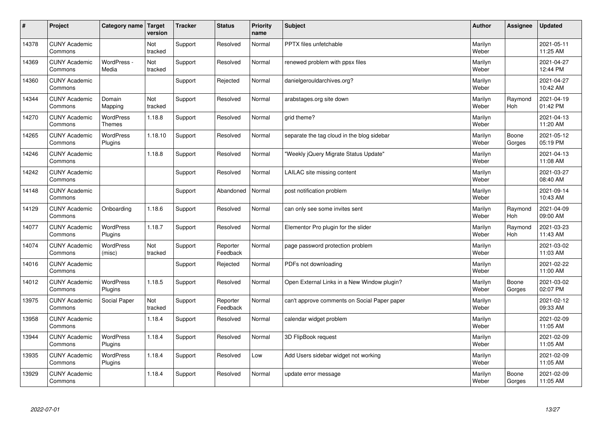| #     | Project                         | Category name   Target            | version        | <b>Tracker</b> | <b>Status</b>        | <b>Priority</b><br>name | <b>Subject</b>                               | <b>Author</b>    | Assignee              | <b>Updated</b>         |
|-------|---------------------------------|-----------------------------------|----------------|----------------|----------------------|-------------------------|----------------------------------------------|------------------|-----------------------|------------------------|
| 14378 | <b>CUNY Academic</b><br>Commons |                                   | Not<br>tracked | Support        | Resolved             | Normal                  | <b>PPTX</b> files unfetchable                | Marilyn<br>Weber |                       | 2021-05-11<br>11:25 AM |
| 14369 | <b>CUNY Academic</b><br>Commons | WordPress -<br>Media              | Not<br>tracked | Support        | Resolved             | Normal                  | renewed problem with ppsx files              | Marilyn<br>Weber |                       | 2021-04-27<br>12:44 PM |
| 14360 | <b>CUNY Academic</b><br>Commons |                                   |                | Support        | Rejected             | Normal                  | danielgerouldarchives.org?                   | Marilyn<br>Weber |                       | 2021-04-27<br>10:42 AM |
| 14344 | <b>CUNY Academic</b><br>Commons | Domain<br>Mapping                 | Not<br>tracked | Support        | Resolved             | Normal                  | arabstages.org site down                     | Marilyn<br>Weber | Raymond<br>Hoh        | 2021-04-19<br>01:42 PM |
| 14270 | <b>CUNY Academic</b><br>Commons | <b>WordPress</b><br><b>Themes</b> | 1.18.8         | Support        | Resolved             | Normal                  | grid theme?                                  | Marilyn<br>Weber |                       | 2021-04-13<br>11:20 AM |
| 14265 | <b>CUNY Academic</b><br>Commons | <b>WordPress</b><br>Plugins       | 1.18.10        | Support        | Resolved             | Normal                  | separate the tag cloud in the blog sidebar   | Marilyn<br>Weber | Boone<br>Gorges       | 2021-05-12<br>05:19 PM |
| 14246 | <b>CUNY Academic</b><br>Commons |                                   | 1.18.8         | Support        | Resolved             | Normal                  | 'Weekly jQuery Migrate Status Update"        | Marilyn<br>Weber |                       | 2021-04-13<br>11:08 AM |
| 14242 | <b>CUNY Academic</b><br>Commons |                                   |                | Support        | Resolved             | Normal                  | LAILAC site missing content                  | Marilyn<br>Weber |                       | 2021-03-27<br>08:40 AM |
| 14148 | <b>CUNY Academic</b><br>Commons |                                   |                | Support        | Abandoned            | Normal                  | post notification problem                    | Marilyn<br>Weber |                       | 2021-09-14<br>10:43 AM |
| 14129 | <b>CUNY Academic</b><br>Commons | Onboarding                        | 1.18.6         | Support        | Resolved             | Normal                  | can only see some invites sent               | Marilyn<br>Weber | Raymond<br><b>Hoh</b> | 2021-04-09<br>09:00 AM |
| 14077 | <b>CUNY Academic</b><br>Commons | <b>WordPress</b><br>Plugins       | 1.18.7         | Support        | Resolved             | Normal                  | Elementor Pro plugin for the slider          | Marilyn<br>Weber | Raymond<br><b>Hoh</b> | 2021-03-23<br>11:43 AM |
| 14074 | <b>CUNY Academic</b><br>Commons | <b>WordPress</b><br>(misc)        | Not<br>tracked | Support        | Reporter<br>Feedback | Normal                  | page password protection problem             | Marilyn<br>Weber |                       | 2021-03-02<br>11:03 AM |
| 14016 | <b>CUNY Academic</b><br>Commons |                                   |                | Support        | Rejected             | Normal                  | PDFs not downloading                         | Marilyn<br>Weber |                       | 2021-02-22<br>11:00 AM |
| 14012 | <b>CUNY Academic</b><br>Commons | WordPress<br>Plugins              | 1.18.5         | Support        | Resolved             | Normal                  | Open External Links in a New Window plugin?  | Marilyn<br>Weber | Boone<br>Gorges       | 2021-03-02<br>02:07 PM |
| 13975 | <b>CUNY Academic</b><br>Commons | Social Paper                      | Not<br>tracked | Support        | Reporter<br>Feedback | Normal                  | can't approve comments on Social Paper paper | Marilyn<br>Weber |                       | 2021-02-12<br>09:33 AM |
| 13958 | <b>CUNY Academic</b><br>Commons |                                   | 1.18.4         | Support        | Resolved             | Normal                  | calendar widget problem                      | Marilyn<br>Weber |                       | 2021-02-09<br>11:05 AM |
| 13944 | <b>CUNY Academic</b><br>Commons | WordPress<br>Plugins              | 1.18.4         | Support        | Resolved             | Normal                  | 3D FlipBook request                          | Marilyn<br>Weber |                       | 2021-02-09<br>11:05 AM |
| 13935 | <b>CUNY Academic</b><br>Commons | <b>WordPress</b><br>Plugins       | 1.18.4         | Support        | Resolved             | Low                     | Add Users sidebar widget not working         | Marilyn<br>Weber |                       | 2021-02-09<br>11:05 AM |
| 13929 | <b>CUNY Academic</b><br>Commons |                                   | 1.18.4         | Support        | Resolved             | Normal                  | update error message                         | Marilyn<br>Weber | Boone<br>Gorges       | 2021-02-09<br>11:05 AM |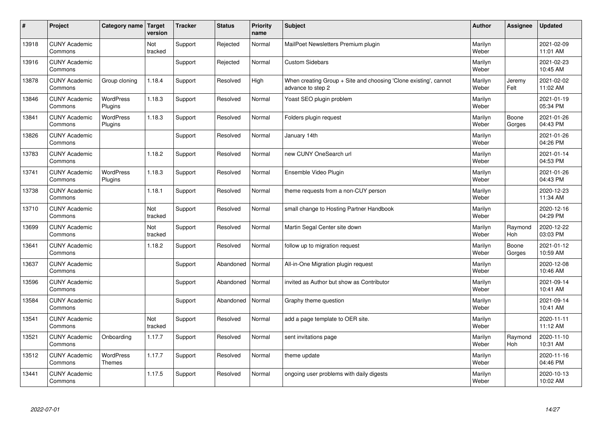| $\sharp$ | Project                         | Category name   Target      | version        | <b>Tracker</b> | <b>Status</b> | <b>Priority</b><br>name | <b>Subject</b>                                                                        | <b>Author</b>    | <b>Assignee</b>       | <b>Updated</b>         |
|----------|---------------------------------|-----------------------------|----------------|----------------|---------------|-------------------------|---------------------------------------------------------------------------------------|------------------|-----------------------|------------------------|
| 13918    | <b>CUNY Academic</b><br>Commons |                             | Not<br>tracked | Support        | Rejected      | Normal                  | MailPoet Newsletters Premium plugin                                                   | Marilyn<br>Weber |                       | 2021-02-09<br>11:01 AM |
| 13916    | <b>CUNY Academic</b><br>Commons |                             |                | Support        | Rejected      | Normal                  | <b>Custom Sidebars</b>                                                                | Marilyn<br>Weber |                       | 2021-02-23<br>10:45 AM |
| 13878    | <b>CUNY Academic</b><br>Commons | Group cloning               | 1.18.4         | Support        | Resolved      | High                    | When creating Group + Site and choosing 'Clone existing', cannot<br>advance to step 2 | Marilyn<br>Weber | Jeremy<br>Felt        | 2021-02-02<br>11:02 AM |
| 13846    | <b>CUNY Academic</b><br>Commons | <b>WordPress</b><br>Plugins | 1.18.3         | Support        | Resolved      | Normal                  | Yoast SEO plugin problem                                                              | Marilyn<br>Weber |                       | 2021-01-19<br>05:34 PM |
| 13841    | <b>CUNY Academic</b><br>Commons | <b>WordPress</b><br>Plugins | 1.18.3         | Support        | Resolved      | Normal                  | Folders plugin request                                                                | Marilyn<br>Weber | Boone<br>Gorges       | 2021-01-26<br>04:43 PM |
| 13826    | <b>CUNY Academic</b><br>Commons |                             |                | Support        | Resolved      | Normal                  | January 14th                                                                          | Marilyn<br>Weber |                       | 2021-01-26<br>04:26 PM |
| 13783    | <b>CUNY Academic</b><br>Commons |                             | 1.18.2         | Support        | Resolved      | Normal                  | new CUNY OneSearch url                                                                | Marilyn<br>Weber |                       | 2021-01-14<br>04:53 PM |
| 13741    | <b>CUNY Academic</b><br>Commons | WordPress<br>Plugins        | 1.18.3         | Support        | Resolved      | Normal                  | Ensemble Video Plugin                                                                 | Marilyn<br>Weber |                       | 2021-01-26<br>04:43 PM |
| 13738    | <b>CUNY Academic</b><br>Commons |                             | 1.18.1         | Support        | Resolved      | Normal                  | theme requests from a non-CUY person                                                  | Marilyn<br>Weber |                       | 2020-12-23<br>11:34 AM |
| 13710    | <b>CUNY Academic</b><br>Commons |                             | Not<br>tracked | Support        | Resolved      | Normal                  | small change to Hosting Partner Handbook                                              | Marilyn<br>Weber |                       | 2020-12-16<br>04:29 PM |
| 13699    | <b>CUNY Academic</b><br>Commons |                             | Not<br>tracked | Support        | Resolved      | Normal                  | Martin Segal Center site down                                                         | Marilyn<br>Weber | Raymond<br>Hoh        | 2020-12-22<br>03:03 PM |
| 13641    | <b>CUNY Academic</b><br>Commons |                             | 1.18.2         | Support        | Resolved      | Normal                  | follow up to migration request                                                        | Marilyn<br>Weber | Boone<br>Gorges       | 2021-01-12<br>10:59 AM |
| 13637    | <b>CUNY Academic</b><br>Commons |                             |                | Support        | Abandoned     | Normal                  | All-in-One Migration plugin request                                                   | Marilyn<br>Weber |                       | 2020-12-08<br>10:46 AM |
| 13596    | <b>CUNY Academic</b><br>Commons |                             |                | Support        | Abandoned     | Normal                  | invited as Author but show as Contributor                                             | Marilyn<br>Weber |                       | 2021-09-14<br>10:41 AM |
| 13584    | <b>CUNY Academic</b><br>Commons |                             |                | Support        | Abandoned     | Normal                  | Graphy theme question                                                                 | Marilyn<br>Weber |                       | 2021-09-14<br>10:41 AM |
| 13541    | <b>CUNY Academic</b><br>Commons |                             | Not<br>tracked | Support        | Resolved      | Normal                  | add a page template to OER site.                                                      | Marilyn<br>Weber |                       | 2020-11-11<br>11:12 AM |
| 13521    | <b>CUNY Academic</b><br>Commons | Onboarding                  | 1.17.7         | Support        | Resolved      | Normal                  | sent invitations page                                                                 | Marilyn<br>Weber | Raymond<br><b>Hoh</b> | 2020-11-10<br>10:31 AM |
| 13512    | <b>CUNY Academic</b><br>Commons | WordPress<br><b>Themes</b>  | 1.17.7         | Support        | Resolved      | Normal                  | theme update                                                                          | Marilyn<br>Weber |                       | 2020-11-16<br>04:46 PM |
| 13441    | <b>CUNY Academic</b><br>Commons |                             | 1.17.5         | Support        | Resolved      | Normal                  | ongoing user problems with daily digests                                              | Marilyn<br>Weber |                       | 2020-10-13<br>10:02 AM |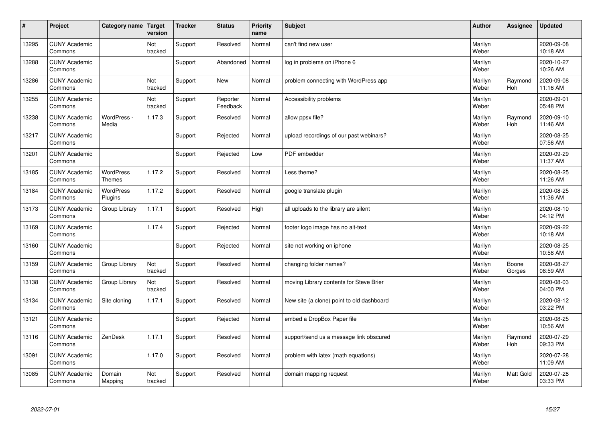| $\sharp$ | Project                         | Category name   Target            | version        | <b>Tracker</b> | <b>Status</b>        | <b>Priority</b><br>name | <b>Subject</b>                            | <b>Author</b>    | Assignee              | Updated                |
|----------|---------------------------------|-----------------------------------|----------------|----------------|----------------------|-------------------------|-------------------------------------------|------------------|-----------------------|------------------------|
| 13295    | <b>CUNY Academic</b><br>Commons |                                   | Not<br>tracked | Support        | Resolved             | Normal                  | can't find new user                       | Marilyn<br>Weber |                       | 2020-09-08<br>10:18 AM |
| 13288    | <b>CUNY Academic</b><br>Commons |                                   |                | Support        | Abandoned            | Normal                  | log in problems on iPhone 6               | Marilyn<br>Weber |                       | 2020-10-27<br>10:26 AM |
| 13286    | <b>CUNY Academic</b><br>Commons |                                   | Not<br>tracked | Support        | <b>New</b>           | Normal                  | problem connecting with WordPress app     | Marilyn<br>Weber | Raymond<br><b>Hoh</b> | 2020-09-08<br>11:16 AM |
| 13255    | <b>CUNY Academic</b><br>Commons |                                   | Not<br>tracked | Support        | Reporter<br>Feedback | Normal                  | Accessibility problems                    | Marilyn<br>Weber |                       | 2020-09-01<br>05:48 PM |
| 13238    | <b>CUNY Academic</b><br>Commons | WordPress -<br>Media              | 1.17.3         | Support        | Resolved             | Normal                  | allow ppsx file?                          | Marilyn<br>Weber | Raymond<br>Hoh        | 2020-09-10<br>11:46 AM |
| 13217    | <b>CUNY Academic</b><br>Commons |                                   |                | Support        | Rejected             | Normal                  | upload recordings of our past webinars?   | Marilyn<br>Weber |                       | 2020-08-25<br>07:56 AM |
| 13201    | <b>CUNY Academic</b><br>Commons |                                   |                | Support        | Rejected             | Low                     | PDF embedder                              | Marilyn<br>Weber |                       | 2020-09-29<br>11:37 AM |
| 13185    | <b>CUNY Academic</b><br>Commons | <b>WordPress</b><br><b>Themes</b> | 1.17.2         | Support        | Resolved             | Normal                  | Less theme?                               | Marilyn<br>Weber |                       | 2020-08-25<br>11:26 AM |
| 13184    | <b>CUNY Academic</b><br>Commons | <b>WordPress</b><br>Plugins       | 1.17.2         | Support        | Resolved             | Normal                  | google translate plugin                   | Marilyn<br>Weber |                       | 2020-08-25<br>11:36 AM |
| 13173    | <b>CUNY Academic</b><br>Commons | Group Library                     | 1.17.1         | Support        | Resolved             | High                    | all uploads to the library are silent     | Marilyn<br>Weber |                       | 2020-08-10<br>04:12 PM |
| 13169    | <b>CUNY Academic</b><br>Commons |                                   | 1.17.4         | Support        | Rejected             | Normal                  | footer logo image has no alt-text         | Marilyn<br>Weber |                       | 2020-09-22<br>10:18 AM |
| 13160    | <b>CUNY Academic</b><br>Commons |                                   |                | Support        | Rejected             | Normal                  | site not working on iphone                | Marilyn<br>Weber |                       | 2020-08-25<br>10:58 AM |
| 13159    | <b>CUNY Academic</b><br>Commons | Group Library                     | Not<br>tracked | Support        | Resolved             | Normal                  | changing folder names?                    | Marilyn<br>Weber | Boone<br>Gorges       | 2020-08-27<br>08:59 AM |
| 13138    | <b>CUNY Academic</b><br>Commons | Group Library                     | Not<br>tracked | Support        | Resolved             | Normal                  | moving Library contents for Steve Brier   | Marilyn<br>Weber |                       | 2020-08-03<br>04:00 PM |
| 13134    | <b>CUNY Academic</b><br>Commons | Site cloning                      | 1.17.1         | Support        | Resolved             | Normal                  | New site (a clone) point to old dashboard | Marilyn<br>Weber |                       | 2020-08-12<br>03:22 PM |
| 13121    | <b>CUNY Academic</b><br>Commons |                                   |                | Support        | Rejected             | Normal                  | embed a DropBox Paper file                | Marilyn<br>Weber |                       | 2020-08-25<br>10:56 AM |
| 13116    | <b>CUNY Academic</b><br>Commons | ZenDesk                           | 1.17.1         | Support        | Resolved             | Normal                  | support/send us a message link obscured   | Marilyn<br>Weber | Raymond<br>Hoh        | 2020-07-29<br>09:33 PM |
| 13091    | <b>CUNY Academic</b><br>Commons |                                   | 1.17.0         | Support        | Resolved             | Normal                  | problem with latex (math equations)       | Marilyn<br>Weber |                       | 2020-07-28<br>11:09 AM |
| 13085    | <b>CUNY Academic</b><br>Commons | Domain<br>Mapping                 | Not<br>tracked | Support        | Resolved             | Normal                  | domain mapping request                    | Marilyn<br>Weber | <b>Matt Gold</b>      | 2020-07-28<br>03:33 PM |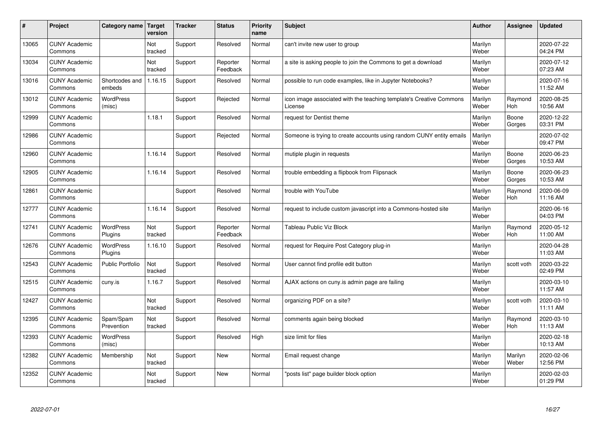| #     | Project                         | Category name   Target      | version        | <b>Tracker</b> | <b>Status</b>        | <b>Priority</b><br>name | <b>Subject</b>                                                                 | <b>Author</b>    | Assignee              | <b>Updated</b>         |
|-------|---------------------------------|-----------------------------|----------------|----------------|----------------------|-------------------------|--------------------------------------------------------------------------------|------------------|-----------------------|------------------------|
| 13065 | <b>CUNY Academic</b><br>Commons |                             | Not<br>tracked | Support        | Resolved             | Normal                  | can't invite new user to group                                                 | Marilyn<br>Weber |                       | 2020-07-22<br>04:24 PM |
| 13034 | <b>CUNY Academic</b><br>Commons |                             | Not<br>tracked | Support        | Reporter<br>Feedback | Normal                  | a site is asking people to join the Commons to get a download                  | Marilyn<br>Weber |                       | 2020-07-12<br>07:23 AM |
| 13016 | <b>CUNY Academic</b><br>Commons | Shortcodes and<br>embeds    | 1.16.15        | Support        | Resolved             | Normal                  | possible to run code examples, like in Jupyter Notebooks?                      | Marilyn<br>Weber |                       | 2020-07-16<br>11:52 AM |
| 13012 | <b>CUNY Academic</b><br>Commons | <b>WordPress</b><br>(misc)  |                | Support        | Rejected             | Normal                  | icon image associated with the teaching template's Creative Commons<br>License | Marilyn<br>Weber | Raymond<br>Hoh        | 2020-08-25<br>10:56 AM |
| 12999 | <b>CUNY Academic</b><br>Commons |                             | 1.18.1         | Support        | Resolved             | Normal                  | request for Dentist theme                                                      | Marilyn<br>Weber | Boone<br>Gorges       | 2020-12-22<br>03:31 PM |
| 12986 | <b>CUNY Academic</b><br>Commons |                             |                | Support        | Rejected             | Normal                  | Someone is trying to create accounts using random CUNY entity emails           | Marilyn<br>Weber |                       | 2020-07-02<br>09:47 PM |
| 12960 | <b>CUNY Academic</b><br>Commons |                             | 1.16.14        | Support        | Resolved             | Normal                  | mutiple plugin in requests                                                     | Marilyn<br>Weber | Boone<br>Gorges       | 2020-06-23<br>10:53 AM |
| 12905 | <b>CUNY Academic</b><br>Commons |                             | 1.16.14        | Support        | Resolved             | Normal                  | trouble embedding a flipbook from Flipsnack                                    | Marilyn<br>Weber | Boone<br>Gorges       | 2020-06-23<br>10:53 AM |
| 12861 | <b>CUNY Academic</b><br>Commons |                             |                | Support        | Resolved             | Normal                  | trouble with YouTube                                                           | Marilyn<br>Weber | Raymond<br>Hoh        | 2020-06-09<br>11:16 AM |
| 12777 | <b>CUNY Academic</b><br>Commons |                             | 1.16.14        | Support        | Resolved             | Normal                  | request to include custom javascript into a Commons-hosted site                | Marilyn<br>Weber |                       | 2020-06-16<br>04:03 PM |
| 12741 | <b>CUNY Academic</b><br>Commons | <b>WordPress</b><br>Plugins | Not<br>tracked | Support        | Reporter<br>Feedback | Normal                  | <b>Tableau Public Viz Block</b>                                                | Marilyn<br>Weber | Raymond<br><b>Hoh</b> | 2020-05-12<br>11:00 AM |
| 12676 | <b>CUNY Academic</b><br>Commons | <b>WordPress</b><br>Plugins | 1.16.10        | Support        | Resolved             | Normal                  | request for Require Post Category plug-in                                      | Marilyn<br>Weber |                       | 2020-04-28<br>11:03 AM |
| 12543 | <b>CUNY Academic</b><br>Commons | <b>Public Portfolio</b>     | Not<br>tracked | Support        | Resolved             | Normal                  | User cannot find profile edit button                                           | Marilyn<br>Weber | scott voth            | 2020-03-22<br>02:49 PM |
| 12515 | <b>CUNY Academic</b><br>Commons | cuny.is                     | 1.16.7         | Support        | Resolved             | Normal                  | AJAX actions on cuny is admin page are failing                                 | Marilyn<br>Weber |                       | 2020-03-10<br>11:57 AM |
| 12427 | <b>CUNY Academic</b><br>Commons |                             | Not<br>tracked | Support        | Resolved             | Normal                  | organizing PDF on a site?                                                      | Marilyn<br>Weber | scott voth            | 2020-03-10<br>11:11 AM |
| 12395 | <b>CUNY Academic</b><br>Commons | Spam/Spam<br>Prevention     | Not<br>tracked | Support        | Resolved             | Normal                  | comments again being blocked                                                   | Marilyn<br>Weber | Raymond<br><b>Hoh</b> | 2020-03-10<br>11:13 AM |
| 12393 | <b>CUNY Academic</b><br>Commons | WordPress<br>(misc)         |                | Support        | Resolved             | High                    | size limit for files                                                           | Marilyn<br>Weber |                       | 2020-02-18<br>10:13 AM |
| 12382 | <b>CUNY Academic</b><br>Commons | Membership                  | Not<br>tracked | Support        | <b>New</b>           | Normal                  | Email request change                                                           | Marilyn<br>Weber | Marilyn<br>Weber      | 2020-02-06<br>12:56 PM |
| 12352 | <b>CUNY Academic</b><br>Commons |                             | Not<br>tracked | Support        | <b>New</b>           | Normal                  | 'posts list" page builder block option                                         | Marilyn<br>Weber |                       | 2020-02-03<br>01:29 PM |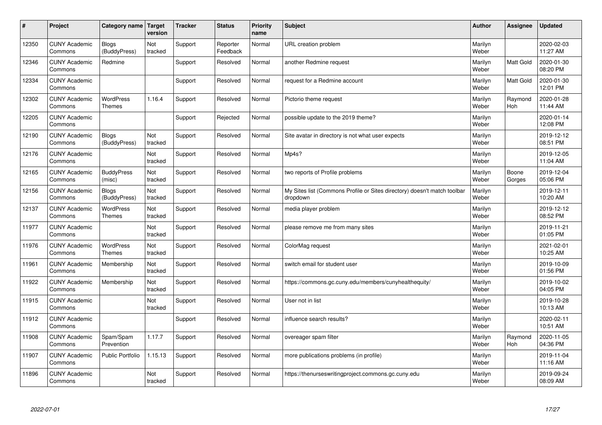| #     | Project                         | Category name   Target            | version        | <b>Tracker</b> | <b>Status</b>        | <b>Priority</b><br>name | <b>Subject</b>                                                                       | <b>Author</b>    | Assignee         | <b>Updated</b>         |
|-------|---------------------------------|-----------------------------------|----------------|----------------|----------------------|-------------------------|--------------------------------------------------------------------------------------|------------------|------------------|------------------------|
| 12350 | <b>CUNY Academic</b><br>Commons | Blogs<br>(BuddyPress)             | Not<br>tracked | Support        | Reporter<br>Feedback | Normal                  | URL creation problem                                                                 | Marilyn<br>Weber |                  | 2020-02-03<br>11:27 AM |
| 12346 | <b>CUNY Academic</b><br>Commons | Redmine                           |                | Support        | Resolved             | Normal                  | another Redmine request                                                              | Marilyn<br>Weber | <b>Matt Gold</b> | 2020-01-30<br>08:20 PM |
| 12334 | <b>CUNY Academic</b><br>Commons |                                   |                | Support        | Resolved             | Normal                  | request for a Redmine account                                                        | Marilyn<br>Weber | Matt Gold        | 2020-01-30<br>12:01 PM |
| 12302 | <b>CUNY Academic</b><br>Commons | <b>WordPress</b><br><b>Themes</b> | 1.16.4         | Support        | Resolved             | Normal                  | Pictorio theme request                                                               | Marilyn<br>Weber | Raymond<br>Hoh   | 2020-01-28<br>11:44 AM |
| 12205 | <b>CUNY Academic</b><br>Commons |                                   |                | Support        | Rejected             | Normal                  | possible update to the 2019 theme?                                                   | Marilyn<br>Weber |                  | 2020-01-14<br>12:08 PM |
| 12190 | <b>CUNY Academic</b><br>Commons | <b>Blogs</b><br>(BuddyPress)      | Not<br>tracked | Support        | Resolved             | Normal                  | Site avatar in directory is not what user expects                                    | Marilyn<br>Weber |                  | 2019-12-12<br>08:51 PM |
| 12176 | <b>CUNY Academic</b><br>Commons |                                   | Not<br>tracked | Support        | Resolved             | Normal                  | Mp4s?                                                                                | Marilyn<br>Weber |                  | 2019-12-05<br>11:04 AM |
| 12165 | <b>CUNY Academic</b><br>Commons | <b>BuddyPress</b><br>(misc)       | Not<br>tracked | Support        | Resolved             | Normal                  | two reports of Profile problems                                                      | Marilyn<br>Weber | Boone<br>Gorges  | 2019-12-04<br>05:06 PM |
| 12156 | <b>CUNY Academic</b><br>Commons | <b>Blogs</b><br>(BuddyPress)      | Not<br>tracked | Support        | Resolved             | Normal                  | My Sites list (Commons Profile or Sites directory) doesn't match toolbar<br>dropdown | Marilyn<br>Weber |                  | 2019-12-11<br>10:20 AM |
| 12137 | <b>CUNY Academic</b><br>Commons | WordPress<br><b>Themes</b>        | Not<br>tracked | Support        | Resolved             | Normal                  | media player problem                                                                 | Marilyn<br>Weber |                  | 2019-12-12<br>08:52 PM |
| 11977 | <b>CUNY Academic</b><br>Commons |                                   | Not<br>tracked | Support        | Resolved             | Normal                  | please remove me from many sites                                                     | Marilyn<br>Weber |                  | 2019-11-21<br>01:05 PM |
| 11976 | <b>CUNY Academic</b><br>Commons | <b>WordPress</b><br><b>Themes</b> | Not<br>tracked | Support        | Resolved             | Normal                  | ColorMag request                                                                     | Marilyn<br>Weber |                  | 2021-02-01<br>10:25 AM |
| 11961 | <b>CUNY Academic</b><br>Commons | Membership                        | Not<br>tracked | Support        | Resolved             | Normal                  | switch email for student user                                                        | Marilyn<br>Weber |                  | 2019-10-09<br>01:56 PM |
| 11922 | <b>CUNY Academic</b><br>Commons | Membership                        | Not<br>tracked | Support        | Resolved             | Normal                  | https://commons.gc.cuny.edu/members/cunyhealthequity/                                | Marilyn<br>Weber |                  | 2019-10-02<br>04:05 PM |
| 11915 | <b>CUNY Academic</b><br>Commons |                                   | Not<br>tracked | Support        | Resolved             | Normal                  | User not in list                                                                     | Marilyn<br>Weber |                  | 2019-10-28<br>10:13 AM |
| 11912 | <b>CUNY Academic</b><br>Commons |                                   |                | Support        | Resolved             | Normal                  | influence search results?                                                            | Marilyn<br>Weber |                  | 2020-02-11<br>10:51 AM |
| 11908 | <b>CUNY Academic</b><br>Commons | Spam/Spam<br>Prevention           | 1.17.7         | Support        | Resolved             | Normal                  | overeager spam filter                                                                | Marilyn<br>Weber | Raymond<br>Hoh   | 2020-11-05<br>04:36 PM |
| 11907 | <b>CUNY Academic</b><br>Commons | Public Portfolio                  | 1.15.13        | Support        | Resolved             | Normal                  | more publications problems (in profile)                                              | Marilyn<br>Weber |                  | 2019-11-04<br>11:16 AM |
| 11896 | <b>CUNY Academic</b><br>Commons |                                   | Not<br>tracked | Support        | Resolved             | Normal                  | https://thenurseswritingproject.commons.gc.cuny.edu                                  | Marilyn<br>Weber |                  | 2019-09-24<br>08:09 AM |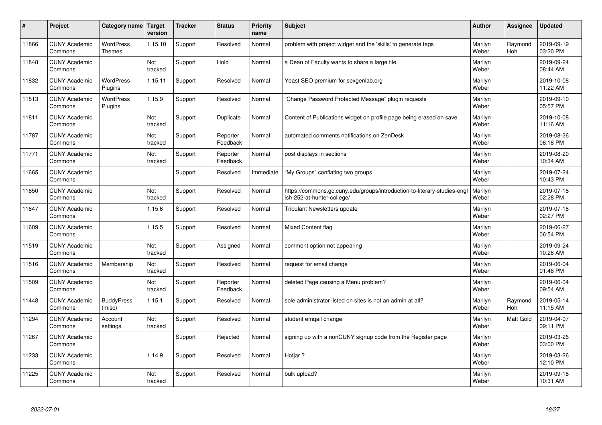| #     | Project                         | Category name                     | <b>Target</b><br>version | <b>Tracker</b> | <b>Status</b>        | Priority<br>name | <b>Subject</b>                                                                                        | <b>Author</b>    | Assignee       | <b>Updated</b>         |
|-------|---------------------------------|-----------------------------------|--------------------------|----------------|----------------------|------------------|-------------------------------------------------------------------------------------------------------|------------------|----------------|------------------------|
| 11866 | <b>CUNY Academic</b><br>Commons | <b>WordPress</b><br><b>Themes</b> | 1.15.10                  | Support        | Resolved             | Normal           | problem with project widget and the 'skills' to generate tags                                         | Marilyn<br>Weber | Raymond<br>Hoh | 2019-09-19<br>03:20 PM |
| 11848 | <b>CUNY Academic</b><br>Commons |                                   | Not<br>tracked           | Support        | Hold                 | Normal           | a Dean of Faculty wants to share a large file                                                         | Marilyn<br>Weber |                | 2019-09-24<br>08:44 AM |
| 11832 | <b>CUNY Academic</b><br>Commons | <b>WordPress</b><br>Plugins       | 1.15.11                  | Support        | Resolved             | Normal           | Yoast SEO premium for sexgenlab.org                                                                   | Marilyn<br>Weber |                | 2019-10-08<br>11:22 AM |
| 11813 | <b>CUNY Academic</b><br>Commons | <b>WordPress</b><br>Plugins       | 1.15.9                   | Support        | Resolved             | Normal           | 'Change Password Protected Message" plugin requests                                                   | Marilyn<br>Weber |                | 2019-09-10<br>05:57 PM |
| 11811 | <b>CUNY Academic</b><br>Commons |                                   | Not<br>tracked           | Support        | Duplicate            | Normal           | Content of Publications widget on profile page being erased on save                                   | Marilyn<br>Weber |                | 2019-10-08<br>11:16 AM |
| 11787 | <b>CUNY Academic</b><br>Commons |                                   | Not<br>tracked           | Support        | Reporter<br>Feedback | Normal           | automated comments notifications on ZenDesk                                                           | Marilyn<br>Weber |                | 2019-08-26<br>06:18 PM |
| 11771 | <b>CUNY Academic</b><br>Commons |                                   | Not<br>tracked           | Support        | Reporter<br>Feedback | Normal           | post displays in sections                                                                             | Marilyn<br>Weber |                | 2019-08-20<br>10:34 AM |
| 11665 | <b>CUNY Academic</b><br>Commons |                                   |                          | Support        | Resolved             | Immediate        | "My Groups" conflating two groups                                                                     | Marilyn<br>Weber |                | 2019-07-24<br>10:43 PM |
| 11650 | <b>CUNY Academic</b><br>Commons |                                   | Not<br>tracked           | Support        | Resolved             | Normal           | https://commons.gc.cuny.edu/groups/introduction-to-literary-studies-eng<br>ish-252-at-hunter-college/ | Marilyn<br>Weber |                | 2019-07-18<br>02:28 PM |
| 11647 | <b>CUNY Academic</b><br>Commons |                                   | 1.15.6                   | Support        | Resolved             | Normal           | Tribulant Newsletters update                                                                          | Marilyn<br>Weber |                | 2019-07-18<br>02:27 PM |
| 11609 | <b>CUNY Academic</b><br>Commons |                                   | 1.15.5                   | Support        | Resolved             | Normal           | Mixed Content flag                                                                                    | Marilyn<br>Weber |                | 2019-06-27<br>06:54 PM |
| 11519 | <b>CUNY Academic</b><br>Commons |                                   | Not<br>tracked           | Support        | Assigned             | Normal           | comment option not appearing                                                                          | Marilyn<br>Weber |                | 2019-09-24<br>10:28 AM |
| 11516 | <b>CUNY Academic</b><br>Commons | Membership                        | Not<br>tracked           | Support        | Resolved             | Normal           | request for email change                                                                              | Marilyn<br>Weber |                | 2019-06-04<br>01:48 PM |
| 11509 | <b>CUNY Academic</b><br>Commons |                                   | Not<br>tracked           | Support        | Reporter<br>Feedback | Normal           | deleted Page causing a Menu problem?                                                                  | Marilyn<br>Weber |                | 2019-06-04<br>09:54 AM |
| 11448 | <b>CUNY Academic</b><br>Commons | <b>BuddyPress</b><br>(misc)       | 1.15.1                   | Support        | Resolved             | Normal           | sole administrator listed on sites is not an admin at all?                                            | Marilyn<br>Weber | Raymond<br>Hoh | 2019-05-14<br>11:15 AM |
| 11294 | <b>CUNY Academic</b><br>Commons | Account<br>settings               | Not<br>tracked           | Support        | Resolved             | Normal           | student emgail change                                                                                 | Marilyn<br>Weber | Matt Gold      | 2019-04-07<br>09:11 PM |
| 11267 | <b>CUNY Academic</b><br>Commons |                                   |                          | Support        | Rejected             | Normal           | signing up with a nonCUNY signup code from the Register page                                          | Marilyn<br>Weber |                | 2019-03-26<br>03:00 PM |
| 11233 | <b>CUNY Academic</b><br>Commons |                                   | 1.14.9                   | Support        | Resolved             | Normal           | Hotjar ?                                                                                              | Marilyn<br>Weber |                | 2019-03-26<br>12:10 PM |
| 11225 | <b>CUNY Academic</b><br>Commons |                                   | Not<br>tracked           | Support        | Resolved             | Normal           | bulk upload?                                                                                          | Marilyn<br>Weber |                | 2019-09-18<br>10:31 AM |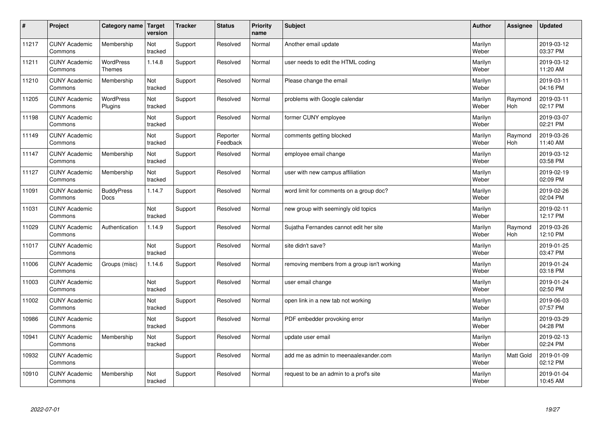| #     | Project                         | Category name                     | Target<br>version | <b>Tracker</b> | <b>Status</b>        | <b>Priority</b><br>name | <b>Subject</b>                              | <b>Author</b>    | Assignee              | <b>Updated</b>         |
|-------|---------------------------------|-----------------------------------|-------------------|----------------|----------------------|-------------------------|---------------------------------------------|------------------|-----------------------|------------------------|
| 11217 | <b>CUNY Academic</b><br>Commons | Membership                        | Not<br>tracked    | Support        | Resolved             | Normal                  | Another email update                        | Marilyn<br>Weber |                       | 2019-03-12<br>03:37 PM |
| 11211 | <b>CUNY Academic</b><br>Commons | <b>WordPress</b><br><b>Themes</b> | 1.14.8            | Support        | Resolved             | Normal                  | user needs to edit the HTML coding          | Marilyn<br>Weber |                       | 2019-03-12<br>11:20 AM |
| 11210 | <b>CUNY Academic</b><br>Commons | Membership                        | Not<br>tracked    | Support        | Resolved             | Normal                  | Please change the email                     | Marilyn<br>Weber |                       | 2019-03-11<br>04:16 PM |
| 11205 | <b>CUNY Academic</b><br>Commons | <b>WordPress</b><br>Plugins       | Not<br>tracked    | Support        | Resolved             | Normal                  | problems with Google calendar               | Marilyn<br>Weber | Raymond<br><b>Hoh</b> | 2019-03-11<br>02:17 PM |
| 11198 | <b>CUNY Academic</b><br>Commons |                                   | Not<br>tracked    | Support        | Resolved             | Normal                  | former CUNY employee                        | Marilyn<br>Weber |                       | 2019-03-07<br>02:21 PM |
| 11149 | <b>CUNY Academic</b><br>Commons |                                   | Not<br>tracked    | Support        | Reporter<br>Feedback | Normal                  | comments getting blocked                    | Marilyn<br>Weber | Raymond<br>Hoh        | 2019-03-26<br>11:40 AM |
| 11147 | <b>CUNY Academic</b><br>Commons | Membership                        | Not<br>tracked    | Support        | Resolved             | Normal                  | employee email change                       | Marilyn<br>Weber |                       | 2019-03-12<br>03:58 PM |
| 11127 | <b>CUNY Academic</b><br>Commons | Membership                        | Not<br>tracked    | Support        | Resolved             | Normal                  | user with new campus affiliation            | Marilyn<br>Weber |                       | 2019-02-19<br>02:09 PM |
| 11091 | <b>CUNY Academic</b><br>Commons | <b>BuddyPress</b><br><b>Docs</b>  | 1.14.7            | Support        | Resolved             | Normal                  | word limit for comments on a group doc?     | Marilyn<br>Weber |                       | 2019-02-26<br>02:04 PM |
| 11031 | <b>CUNY Academic</b><br>Commons |                                   | Not<br>tracked    | Support        | Resolved             | Normal                  | new group with seemingly old topics         | Marilyn<br>Weber |                       | 2019-02-11<br>12:17 PM |
| 11029 | <b>CUNY Academic</b><br>Commons | Authentication                    | 1.14.9            | Support        | Resolved             | Normal                  | Sujatha Fernandes cannot edit her site      | Marilyn<br>Weber | Raymond<br>Hoh        | 2019-03-26<br>12:10 PM |
| 11017 | <b>CUNY Academic</b><br>Commons |                                   | Not<br>tracked    | Support        | Resolved             | Normal                  | site didn't save?                           | Marilyn<br>Weber |                       | 2019-01-25<br>03:47 PM |
| 11006 | <b>CUNY Academic</b><br>Commons | Groups (misc)                     | 1.14.6            | Support        | Resolved             | Normal                  | removing members from a group isn't working | Marilyn<br>Weber |                       | 2019-01-24<br>03:18 PM |
| 11003 | <b>CUNY Academic</b><br>Commons |                                   | Not<br>tracked    | Support        | Resolved             | Normal                  | user email change                           | Marilyn<br>Weber |                       | 2019-01-24<br>02:50 PM |
| 11002 | <b>CUNY Academic</b><br>Commons |                                   | Not<br>tracked    | Support        | Resolved             | Normal                  | open link in a new tab not working          | Marilyn<br>Weber |                       | 2019-06-03<br>07:57 PM |
| 10986 | <b>CUNY Academic</b><br>Commons |                                   | Not<br>tracked    | Support        | Resolved             | Normal                  | PDF embedder provoking error                | Marilyn<br>Weber |                       | 2019-03-29<br>04:28 PM |
| 10941 | <b>CUNY Academic</b><br>Commons | Membership                        | Not<br>tracked    | Support        | Resolved             | Normal                  | update user email                           | Marilyn<br>Weber |                       | 2019-02-13<br>02:24 PM |
| 10932 | <b>CUNY Academic</b><br>Commons |                                   |                   | Support        | Resolved             | Normal                  | add me as admin to meenaalexander.com       | Marilyn<br>Weber | <b>Matt Gold</b>      | 2019-01-09<br>02:12 PM |
| 10910 | <b>CUNY Academic</b><br>Commons | Membership                        | Not<br>tracked    | Support        | Resolved             | Normal                  | request to be an admin to a prof's site     | Marilyn<br>Weber |                       | 2019-01-04<br>10:45 AM |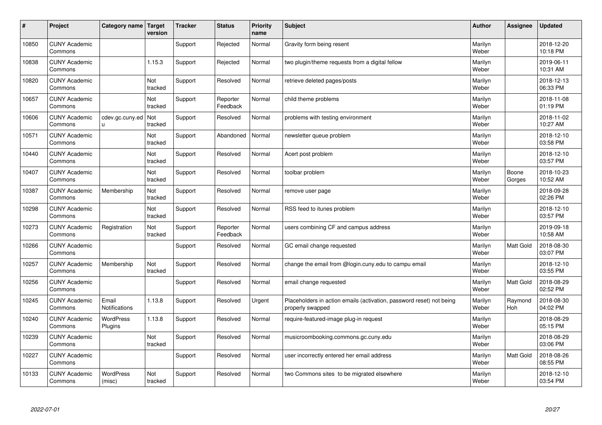| #     | Project                         | Category name   Target        | version        | <b>Tracker</b> | <b>Status</b>        | <b>Priority</b><br>name | <b>Subject</b>                                                                           | <b>Author</b>    | Assignee              | Updated                |
|-------|---------------------------------|-------------------------------|----------------|----------------|----------------------|-------------------------|------------------------------------------------------------------------------------------|------------------|-----------------------|------------------------|
| 10850 | <b>CUNY Academic</b><br>Commons |                               |                | Support        | Rejected             | Normal                  | Gravity form being resent                                                                | Marilyn<br>Weber |                       | 2018-12-20<br>10:18 PM |
| 10838 | <b>CUNY Academic</b><br>Commons |                               | 1.15.3         | Support        | Rejected             | Normal                  | two plugin/theme requests from a digital fellow                                          | Marilyn<br>Weber |                       | 2019-06-11<br>10:31 AM |
| 10820 | <b>CUNY Academic</b><br>Commons |                               | Not<br>tracked | Support        | Resolved             | Normal                  | retrieve deleted pages/posts                                                             | Marilyn<br>Weber |                       | 2018-12-13<br>06:33 PM |
| 10657 | <b>CUNY Academic</b><br>Commons |                               | Not<br>tracked | Support        | Reporter<br>Feedback | Normal                  | child theme problems                                                                     | Marilyn<br>Weber |                       | 2018-11-08<br>01:19 PM |
| 10606 | <b>CUNY Academic</b><br>Commons | cdev.gc.cuny.ed<br>u.         | Not<br>tracked | Support        | Resolved             | Normal                  | problems with testing environment                                                        | Marilyn<br>Weber |                       | 2018-11-02<br>10:27 AM |
| 10571 | <b>CUNY Academic</b><br>Commons |                               | Not<br>tracked | Support        | Abandoned            | Normal                  | newsletter queue problem                                                                 | Marilyn<br>Weber |                       | 2018-12-10<br>03:58 PM |
| 10440 | <b>CUNY Academic</b><br>Commons |                               | Not<br>tracked | Support        | Resolved             | Normal                  | Acert post problem                                                                       | Marilyn<br>Weber |                       | 2018-12-10<br>03:57 PM |
| 10407 | <b>CUNY Academic</b><br>Commons |                               | Not<br>tracked | Support        | Resolved             | Normal                  | toolbar problem                                                                          | Marilyn<br>Weber | Boone<br>Gorges       | 2018-10-23<br>10:52 AM |
| 10387 | <b>CUNY Academic</b><br>Commons | Membership                    | Not<br>tracked | Support        | Resolved             | Normal                  | remove user page                                                                         | Marilyn<br>Weber |                       | 2018-09-28<br>02:26 PM |
| 10298 | <b>CUNY Academic</b><br>Commons |                               | Not<br>tracked | Support        | Resolved             | Normal                  | RSS feed to itunes problem                                                               | Marilyn<br>Weber |                       | 2018-12-10<br>03:57 PM |
| 10273 | <b>CUNY Academic</b><br>Commons | Registration                  | Not<br>tracked | Support        | Reporter<br>Feedback | Normal                  | users combining CF and campus address                                                    | Marilyn<br>Weber |                       | 2019-09-18<br>10:58 AM |
| 10266 | <b>CUNY Academic</b><br>Commons |                               |                | Support        | Resolved             | Normal                  | GC email change requested                                                                | Marilyn<br>Weber | Matt Gold             | 2018-08-30<br>03:07 PM |
| 10257 | <b>CUNY Academic</b><br>Commons | Membership                    | Not<br>tracked | Support        | Resolved             | Normal                  | change the email from @login.cuny.edu to campu email                                     | Marilyn<br>Weber |                       | 2018-12-10<br>03:55 PM |
| 10256 | <b>CUNY Academic</b><br>Commons |                               |                | Support        | Resolved             | Normal                  | email change requested                                                                   | Marilyn<br>Weber | <b>Matt Gold</b>      | 2018-08-29<br>02:52 PM |
| 10245 | <b>CUNY Academic</b><br>Commons | Email<br><b>Notifications</b> | 1.13.8         | Support        | Resolved             | Urgent                  | Placeholders in action emails (activation, password reset) not being<br>properly swapped | Marilyn<br>Weber | Raymond<br><b>Hoh</b> | 2018-08-30<br>04:02 PM |
| 10240 | <b>CUNY Academic</b><br>Commons | <b>WordPress</b><br>Plugins   | 1.13.8         | Support        | Resolved             | Normal                  | require-featured-image plug-in request                                                   | Marilyn<br>Weber |                       | 2018-08-29<br>05:15 PM |
| 10239 | <b>CUNY Academic</b><br>Commons |                               | Not<br>tracked | Support        | Resolved             | Normal                  | musicroombooking.commons.gc.cuny.edu                                                     | Marilyn<br>Weber |                       | 2018-08-29<br>03:06 PM |
| 10227 | <b>CUNY Academic</b><br>Commons |                               |                | Support        | Resolved             | Normal                  | user incorrectly entered her email address                                               | Marilyn<br>Weber | <b>Matt Gold</b>      | 2018-08-26<br>08:55 PM |
| 10133 | <b>CUNY Academic</b><br>Commons | <b>WordPress</b><br>(misc)    | Not<br>tracked | Support        | Resolved             | Normal                  | two Commons sites to be migrated elsewhere                                               | Marilyn<br>Weber |                       | 2018-12-10<br>03:54 PM |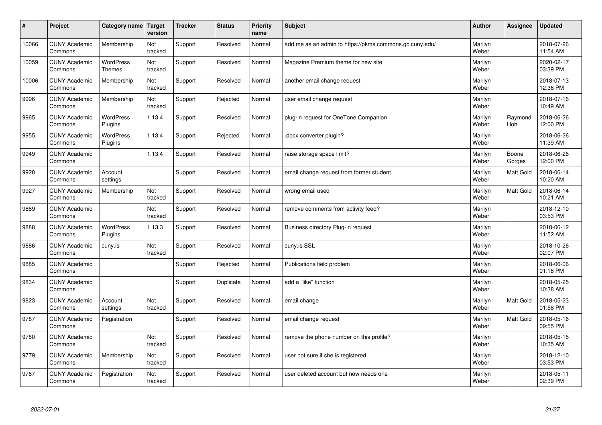| $\pmb{\#}$ | Project                         | Category name                     | Target<br>version | <b>Tracker</b> | <b>Status</b> | <b>Priority</b><br>name | <b>Subject</b>                                          | <b>Author</b>    | Assignee        | <b>Updated</b>         |
|------------|---------------------------------|-----------------------------------|-------------------|----------------|---------------|-------------------------|---------------------------------------------------------|------------------|-----------------|------------------------|
| 10066      | <b>CUNY Academic</b><br>Commons | Membership                        | Not<br>tracked    | Support        | Resolved      | Normal                  | add me as an admin to https://pkms.commons.gc.cuny.edu/ | Marilyn<br>Weber |                 | 2018-07-26<br>11:54 AM |
| 10059      | <b>CUNY Academic</b><br>Commons | <b>WordPress</b><br><b>Themes</b> | Not<br>tracked    | Support        | Resolved      | Normal                  | Magazine Premium theme for new site                     | Marilyn<br>Weber |                 | 2020-02-17<br>03:39 PM |
| 10006      | <b>CUNY Academic</b><br>Commons | Membership                        | Not<br>tracked    | Support        | Resolved      | Normal                  | another email change request                            | Marilyn<br>Weber |                 | 2018-07-13<br>12:36 PM |
| 9996       | <b>CUNY Academic</b><br>Commons | Membership                        | Not<br>tracked    | Support        | Rejected      | Normal                  | user email change request                               | Marilyn<br>Weber |                 | 2018-07-16<br>10:49 AM |
| 9965       | <b>CUNY Academic</b><br>Commons | <b>WordPress</b><br>Plugins       | 1.13.4            | Support        | Resolved      | Normal                  | plug-in request for OneTone Companion                   | Marilyn<br>Weber | Raymond<br>Hoh  | 2018-06-26<br>12:00 PM |
| 9955       | <b>CUNY Academic</b><br>Commons | WordPress<br>Plugins              | 1.13.4            | Support        | Rejected      | Normal                  | docx converter plugin?                                  | Marilyn<br>Weber |                 | 2018-06-26<br>11:39 AM |
| 9949       | <b>CUNY Academic</b><br>Commons |                                   | 1.13.4            | Support        | Resolved      | Normal                  | raise storage space limit?                              | Marilyn<br>Weber | Boone<br>Gorges | 2018-06-26<br>12:00 PM |
| 9928       | <b>CUNY Academic</b><br>Commons | Account<br>settings               |                   | Support        | Resolved      | Normal                  | email change request from former student                | Marilyn<br>Weber | Matt Gold       | 2018-06-14<br>10:20 AM |
| 9927       | <b>CUNY Academic</b><br>Commons | Membership                        | Not<br>tracked    | Support        | Resolved      | Normal                  | wrong email used                                        | Marilyn<br>Weber | Matt Gold       | 2018-06-14<br>10:21 AM |
| 9889       | <b>CUNY Academic</b><br>Commons |                                   | Not<br>tracked    | Support        | Resolved      | Normal                  | remove comments from activity feed?                     | Marilyn<br>Weber |                 | 2018-12-10<br>03:53 PM |
| 9888       | <b>CUNY Academic</b><br>Commons | WordPress<br>Plugins              | 1.13.3            | Support        | Resolved      | Normal                  | Business directory Plug-in request                      | Marilyn<br>Weber |                 | 2018-06-12<br>11:52 AM |
| 9886       | <b>CUNY Academic</b><br>Commons | cuny.is                           | Not<br>tracked    | Support        | Resolved      | Normal                  | cuny.is SSL                                             | Marilyn<br>Weber |                 | 2018-10-26<br>02:07 PM |
| 9885       | <b>CUNY Academic</b><br>Commons |                                   |                   | Support        | Rejected      | Normal                  | Publications field problem                              | Marilyn<br>Weber |                 | 2018-06-06<br>01:18 PM |
| 9834       | <b>CUNY Academic</b><br>Commons |                                   |                   | Support        | Duplicate     | Normal                  | add a "like" function                                   | Marilyn<br>Weber |                 | 2018-05-25<br>10:38 AM |
| 9823       | <b>CUNY Academic</b><br>Commons | Account<br>settings               | Not<br>tracked    | Support        | Resolved      | Normal                  | email change                                            | Marilyn<br>Weber | Matt Gold       | 2018-05-23<br>01:58 PM |
| 9787       | <b>CUNY Academic</b><br>Commons | Registration                      |                   | Support        | Resolved      | Normal                  | email change request                                    | Marilyn<br>Weber | Matt Gold       | 2018-05-16<br>09:55 PM |
| 9780       | <b>CUNY Academic</b><br>Commons |                                   | Not<br>tracked    | Support        | Resolved      | Normal                  | remove the phone number on this profile?                | Marilyn<br>Weber |                 | 2018-05-15<br>10:35 AM |
| 9779       | <b>CUNY Academic</b><br>Commons | Membership                        | Not<br>tracked    | Support        | Resolved      | Normal                  | user not sure if she is registered.                     | Marilyn<br>Weber |                 | 2018-12-10<br>03:53 PM |
| 9767       | <b>CUNY Academic</b><br>Commons | Registration                      | Not<br>tracked    | Support        | Resolved      | Normal                  | user deleted account but now needs one                  | Marilyn<br>Weber |                 | 2018-05-11<br>02:39 PM |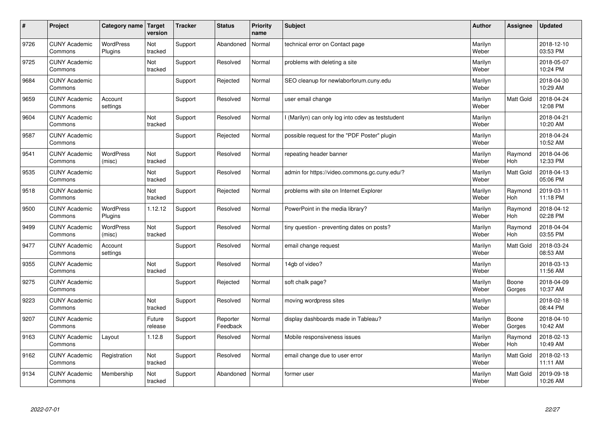| $\sharp$ | Project                         | Category name   Target      | version           | <b>Tracker</b> | <b>Status</b>        | <b>Priority</b><br>name | <b>Subject</b>                                    | <b>Author</b>    | Assignee              | <b>Updated</b>         |
|----------|---------------------------------|-----------------------------|-------------------|----------------|----------------------|-------------------------|---------------------------------------------------|------------------|-----------------------|------------------------|
| 9726     | <b>CUNY Academic</b><br>Commons | <b>WordPress</b><br>Plugins | Not<br>tracked    | Support        | Abandoned            | Normal                  | technical error on Contact page                   | Marilyn<br>Weber |                       | 2018-12-10<br>03:53 PM |
| 9725     | <b>CUNY Academic</b><br>Commons |                             | Not<br>tracked    | Support        | Resolved             | Normal                  | problems with deleting a site                     | Marilyn<br>Weber |                       | 2018-05-07<br>10:24 PM |
| 9684     | <b>CUNY Academic</b><br>Commons |                             |                   | Support        | Rejected             | Normal                  | SEO cleanup for newlaborforum.cuny.edu            | Marilyn<br>Weber |                       | 2018-04-30<br>10:29 AM |
| 9659     | <b>CUNY Academic</b><br>Commons | Account<br>settings         |                   | Support        | Resolved             | Normal                  | user email change                                 | Marilyn<br>Weber | <b>Matt Gold</b>      | 2018-04-24<br>12:08 PM |
| 9604     | <b>CUNY Academic</b><br>Commons |                             | Not<br>tracked    | Support        | Resolved             | Normal                  | I (Marilyn) can only log into cdev as teststudent | Marilyn<br>Weber |                       | 2018-04-21<br>10:20 AM |
| 9587     | <b>CUNY Academic</b><br>Commons |                             |                   | Support        | Rejected             | Normal                  | possible request for the "PDF Poster" plugin      | Marilyn<br>Weber |                       | 2018-04-24<br>10:52 AM |
| 9541     | <b>CUNY Academic</b><br>Commons | <b>WordPress</b><br>(misc)  | Not<br>tracked    | Support        | Resolved             | Normal                  | repeating header banner                           | Marilyn<br>Weber | Raymond<br>Hoh        | 2018-04-06<br>12:33 PM |
| 9535     | <b>CUNY Academic</b><br>Commons |                             | Not<br>tracked    | Support        | Resolved             | Normal                  | admin for https://video.commons.gc.cuny.edu/?     | Marilyn<br>Weber | Matt Gold             | 2018-04-13<br>05:06 PM |
| 9518     | <b>CUNY Academic</b><br>Commons |                             | Not<br>tracked    | Support        | Rejected             | Normal                  | problems with site on Internet Explorer           | Marilyn<br>Weber | Raymond<br>Hoh        | 2019-03-11<br>11:18 PM |
| 9500     | <b>CUNY Academic</b><br>Commons | <b>WordPress</b><br>Plugins | 1.12.12           | Support        | Resolved             | Normal                  | PowerPoint in the media library?                  | Marilyn<br>Weber | Raymond<br><b>Hoh</b> | 2018-04-12<br>02:28 PM |
| 9499     | <b>CUNY Academic</b><br>Commons | WordPress<br>(misc)         | Not<br>tracked    | Support        | Resolved             | Normal                  | tiny question - preventing dates on posts?        | Marilyn<br>Weber | Raymond<br><b>Hoh</b> | 2018-04-04<br>03:55 PM |
| 9477     | <b>CUNY Academic</b><br>Commons | Account<br>settings         |                   | Support        | Resolved             | Normal                  | email change request                              | Marilyn<br>Weber | Matt Gold             | 2018-03-24<br>08:53 AM |
| 9355     | <b>CUNY Academic</b><br>Commons |                             | Not<br>tracked    | Support        | Resolved             | Normal                  | 14gb of video?                                    | Marilyn<br>Weber |                       | 2018-03-13<br>11:56 AM |
| 9275     | <b>CUNY Academic</b><br>Commons |                             |                   | Support        | Rejected             | Normal                  | soft chalk page?                                  | Marilyn<br>Weber | Boone<br>Gorges       | 2018-04-09<br>10:37 AM |
| 9223     | <b>CUNY Academic</b><br>Commons |                             | Not<br>tracked    | Support        | Resolved             | Normal                  | moving wordpress sites                            | Marilyn<br>Weber |                       | 2018-02-18<br>08:44 PM |
| 9207     | <b>CUNY Academic</b><br>Commons |                             | Future<br>release | Support        | Reporter<br>Feedback | Normal                  | display dashboards made in Tableau?               | Marilyn<br>Weber | Boone<br>Gorges       | 2018-04-10<br>10:42 AM |
| 9163     | <b>CUNY Academic</b><br>Commons | Layout                      | 1.12.8            | Support        | Resolved             | Normal                  | Mobile responsiveness issues                      | Marilyn<br>Weber | Raymond<br><b>Hoh</b> | 2018-02-13<br>10:49 AM |
| 9162     | <b>CUNY Academic</b><br>Commons | Registration                | Not<br>tracked    | Support        | Resolved             | Normal                  | email change due to user error                    | Marilyn<br>Weber | Matt Gold             | 2018-02-13<br>11:11 AM |
| 9134     | <b>CUNY Academic</b><br>Commons | Membership                  | Not<br>tracked    | Support        | Abandoned            | Normal                  | former user                                       | Marilyn<br>Weber | <b>Matt Gold</b>      | 2019-09-18<br>10:26 AM |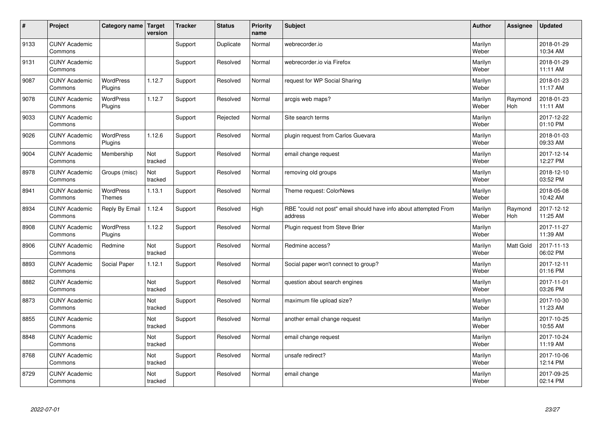| #    | Project                         | Category name   Target      | version        | <b>Tracker</b> | <b>Status</b> | <b>Priority</b><br>name | <b>Subject</b>                                                              | <b>Author</b>    | <b>Assignee</b>       | <b>Updated</b>         |
|------|---------------------------------|-----------------------------|----------------|----------------|---------------|-------------------------|-----------------------------------------------------------------------------|------------------|-----------------------|------------------------|
| 9133 | <b>CUNY Academic</b><br>Commons |                             |                | Support        | Duplicate     | Normal                  | webrecorder.io                                                              | Marilyn<br>Weber |                       | 2018-01-29<br>10:34 AM |
| 9131 | <b>CUNY Academic</b><br>Commons |                             |                | Support        | Resolved      | Normal                  | webrecorder.io via Firefox                                                  | Marilyn<br>Weber |                       | 2018-01-29<br>11:11 AM |
| 9087 | <b>CUNY Academic</b><br>Commons | <b>WordPress</b><br>Plugins | 1.12.7         | Support        | Resolved      | Normal                  | request for WP Social Sharing                                               | Marilyn<br>Weber |                       | 2018-01-23<br>11:17 AM |
| 9078 | <b>CUNY Academic</b><br>Commons | <b>WordPress</b><br>Plugins | 1.12.7         | Support        | Resolved      | Normal                  | arcgis web maps?                                                            | Marilyn<br>Weber | Raymond<br>Hoh        | 2018-01-23<br>11:11 AM |
| 9033 | <b>CUNY Academic</b><br>Commons |                             |                | Support        | Rejected      | Normal                  | Site search terms                                                           | Marilyn<br>Weber |                       | 2017-12-22<br>01:10 PM |
| 9026 | <b>CUNY Academic</b><br>Commons | WordPress<br>Plugins        | 1.12.6         | Support        | Resolved      | Normal                  | plugin request from Carlos Guevara                                          | Marilyn<br>Weber |                       | 2018-01-03<br>09:33 AM |
| 9004 | <b>CUNY Academic</b><br>Commons | Membership                  | Not<br>tracked | Support        | Resolved      | Normal                  | email change request                                                        | Marilyn<br>Weber |                       | 2017-12-14<br>12:27 PM |
| 8978 | <b>CUNY Academic</b><br>Commons | Groups (misc)               | Not<br>tracked | Support        | Resolved      | Normal                  | removing old groups                                                         | Marilyn<br>Weber |                       | 2018-12-10<br>03:52 PM |
| 8941 | <b>CUNY Academic</b><br>Commons | WordPress<br><b>Themes</b>  | 1.13.1         | Support        | Resolved      | Normal                  | Theme request: ColorNews                                                    | Marilyn<br>Weber |                       | 2018-05-08<br>10:42 AM |
| 8934 | <b>CUNY Academic</b><br>Commons | Reply By Email              | 1.12.4         | Support        | Resolved      | High                    | RBE "could not post" email should have info about attempted From<br>address | Marilyn<br>Weber | Raymond<br><b>Hoh</b> | 2017-12-12<br>11:25 AM |
| 8908 | <b>CUNY Academic</b><br>Commons | WordPress<br>Plugins        | 1.12.2         | Support        | Resolved      | Normal                  | Plugin request from Steve Brier                                             | Marilyn<br>Weber |                       | 2017-11-27<br>11:39 AM |
| 8906 | <b>CUNY Academic</b><br>Commons | Redmine                     | Not<br>tracked | Support        | Resolved      | Normal                  | Redmine access?                                                             | Marilyn<br>Weber | <b>Matt Gold</b>      | 2017-11-13<br>06:02 PM |
| 8893 | <b>CUNY Academic</b><br>Commons | Social Paper                | 1.12.1         | Support        | Resolved      | Normal                  | Social paper won't connect to group?                                        | Marilyn<br>Weber |                       | 2017-12-11<br>01:16 PM |
| 8882 | <b>CUNY Academic</b><br>Commons |                             | Not<br>tracked | Support        | Resolved      | Normal                  | question about search engines                                               | Marilyn<br>Weber |                       | 2017-11-01<br>03:26 PM |
| 8873 | <b>CUNY Academic</b><br>Commons |                             | Not<br>tracked | Support        | Resolved      | Normal                  | maximum file upload size?                                                   | Marilyn<br>Weber |                       | 2017-10-30<br>11:23 AM |
| 8855 | <b>CUNY Academic</b><br>Commons |                             | Not<br>tracked | Support        | Resolved      | Normal                  | another email change request                                                | Marilyn<br>Weber |                       | 2017-10-25<br>10:55 AM |
| 8848 | <b>CUNY Academic</b><br>Commons |                             | Not<br>tracked | Support        | Resolved      | Normal                  | email change request                                                        | Marilyn<br>Weber |                       | 2017-10-24<br>11:19 AM |
| 8768 | <b>CUNY Academic</b><br>Commons |                             | Not<br>tracked | Support        | Resolved      | Normal                  | unsafe redirect?                                                            | Marilyn<br>Weber |                       | 2017-10-06<br>12:14 PM |
| 8729 | <b>CUNY Academic</b><br>Commons |                             | Not<br>tracked | Support        | Resolved      | Normal                  | email change                                                                | Marilyn<br>Weber |                       | 2017-09-25<br>02:14 PM |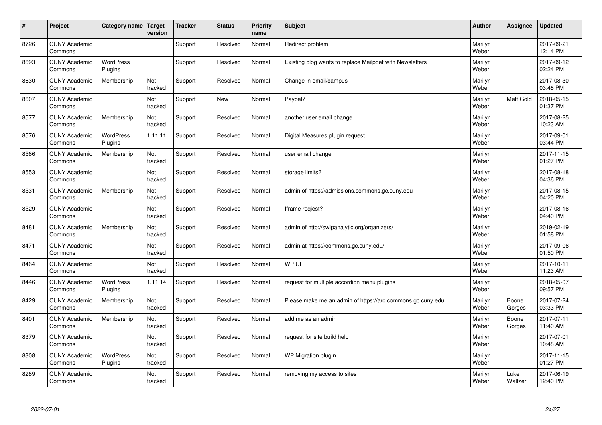| #    | Project                         | Category name   Target      | version        | <b>Tracker</b> | <b>Status</b> | <b>Priority</b><br>name | <b>Subject</b>                                             | <b>Author</b>    | Assignee        | <b>Updated</b>         |
|------|---------------------------------|-----------------------------|----------------|----------------|---------------|-------------------------|------------------------------------------------------------|------------------|-----------------|------------------------|
| 8726 | <b>CUNY Academic</b><br>Commons |                             |                | Support        | Resolved      | Normal                  | Redirect problem                                           | Marilyn<br>Weber |                 | 2017-09-21<br>12:14 PM |
| 8693 | <b>CUNY Academic</b><br>Commons | <b>WordPress</b><br>Plugins |                | Support        | Resolved      | Normal                  | Existing blog wants to replace Mailpoet with Newsletters   | Marilyn<br>Weber |                 | 2017-09-12<br>02:24 PM |
| 8630 | <b>CUNY Academic</b><br>Commons | Membership                  | Not<br>tracked | Support        | Resolved      | Normal                  | Change in email/campus                                     | Marilyn<br>Weber |                 | 2017-08-30<br>03:48 PM |
| 8607 | <b>CUNY Academic</b><br>Commons |                             | Not<br>tracked | Support        | <b>New</b>    | Normal                  | Paypal?                                                    | Marilyn<br>Weber | Matt Gold       | 2018-05-15<br>01:37 PM |
| 8577 | <b>CUNY Academic</b><br>Commons | Membership                  | Not<br>tracked | Support        | Resolved      | Normal                  | another user email change                                  | Marilyn<br>Weber |                 | 2017-08-25<br>10:23 AM |
| 8576 | <b>CUNY Academic</b><br>Commons | <b>WordPress</b><br>Plugins | 1.11.11        | Support        | Resolved      | Normal                  | Digital Measures plugin request                            | Marilyn<br>Weber |                 | 2017-09-01<br>03:44 PM |
| 8566 | <b>CUNY Academic</b><br>Commons | Membership                  | Not<br>tracked | Support        | Resolved      | Normal                  | user email change                                          | Marilyn<br>Weber |                 | 2017-11-15<br>01:27 PM |
| 8553 | <b>CUNY Academic</b><br>Commons |                             | Not<br>tracked | Support        | Resolved      | Normal                  | storage limits?                                            | Marilyn<br>Weber |                 | 2017-08-18<br>04:36 PM |
| 8531 | <b>CUNY Academic</b><br>Commons | Membership                  | Not<br>tracked | Support        | Resolved      | Normal                  | admin of https://admissions.commons.gc.cuny.edu            | Marilyn<br>Weber |                 | 2017-08-15<br>04:20 PM |
| 8529 | <b>CUNY Academic</b><br>Commons |                             | Not<br>tracked | Support        | Resolved      | Normal                  | Iframe regiest?                                            | Marilyn<br>Weber |                 | 2017-08-16<br>04:40 PM |
| 8481 | <b>CUNY Academic</b><br>Commons | Membership                  | Not<br>tracked | Support        | Resolved      | Normal                  | admin of http://swipanalytic.org/organizers/               | Marilyn<br>Weber |                 | 2019-02-19<br>01:58 PM |
| 8471 | <b>CUNY Academic</b><br>Commons |                             | Not<br>tracked | Support        | Resolved      | Normal                  | admin at https://commons.gc.cuny.edu/                      | Marilyn<br>Weber |                 | 2017-09-06<br>01:50 PM |
| 8464 | <b>CUNY Academic</b><br>Commons |                             | Not<br>tracked | Support        | Resolved      | Normal                  | WP UI                                                      | Marilyn<br>Weber |                 | 2017-10-11<br>11:23 AM |
| 8446 | <b>CUNY Academic</b><br>Commons | <b>WordPress</b><br>Plugins | 1.11.14        | Support        | Resolved      | Normal                  | request for multiple accordion menu plugins                | Marilyn<br>Weber |                 | 2018-05-07<br>09:57 PM |
| 8429 | <b>CUNY Academic</b><br>Commons | Membership                  | Not<br>tracked | Support        | Resolved      | Normal                  | Please make me an admin of https://arc.commons.gc.cuny.edu | Marilyn<br>Weber | Boone<br>Gorges | 2017-07-24<br>03:33 PM |
| 8401 | <b>CUNY Academic</b><br>Commons | Membership                  | Not<br>tracked | Support        | Resolved      | Normal                  | add me as an admin                                         | Marilyn<br>Weber | Boone<br>Gorges | 2017-07-11<br>11:40 AM |
| 8379 | <b>CUNY Academic</b><br>Commons |                             | Not<br>tracked | Support        | Resolved      | Normal                  | request for site build help                                | Marilyn<br>Weber |                 | 2017-07-01<br>10:48 AM |
| 8308 | <b>CUNY Academic</b><br>Commons | <b>WordPress</b><br>Plugins | Not<br>tracked | Support        | Resolved      | Normal                  | WP Migration plugin                                        | Marilyn<br>Weber |                 | 2017-11-15<br>01:27 PM |
| 8289 | <b>CUNY Academic</b><br>Commons |                             | Not<br>tracked | Support        | Resolved      | Normal                  | removing my access to sites                                | Marilyn<br>Weber | Luke<br>Waltzer | 2017-06-19<br>12:40 PM |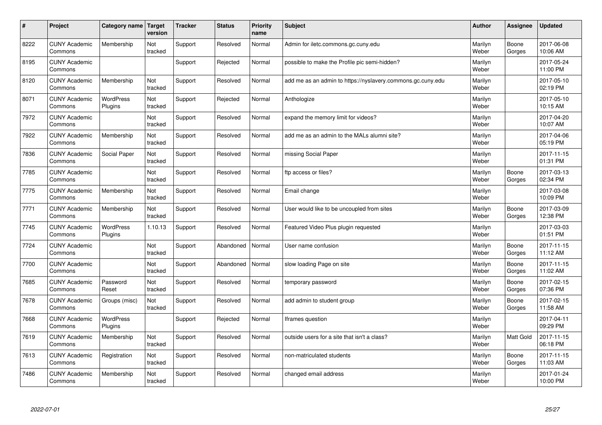| $\#$ | Project                         | Category name   Target      | version        | <b>Tracker</b> | <b>Status</b> | <b>Priority</b><br>name | <b>Subject</b>                                              | <b>Author</b>    | <b>Assignee</b>  | <b>Updated</b>         |
|------|---------------------------------|-----------------------------|----------------|----------------|---------------|-------------------------|-------------------------------------------------------------|------------------|------------------|------------------------|
| 8222 | <b>CUNY Academic</b><br>Commons | Membership                  | Not<br>tracked | Support        | Resolved      | Normal                  | Admin for iletc.commons.gc.cuny.edu                         | Marilyn<br>Weber | Boone<br>Gorges  | 2017-06-08<br>10:06 AM |
| 8195 | <b>CUNY Academic</b><br>Commons |                             |                | Support        | Rejected      | Normal                  | possible to make the Profile pic semi-hidden?               | Marilyn<br>Weber |                  | 2017-05-24<br>11:00 PM |
| 8120 | <b>CUNY Academic</b><br>Commons | Membership                  | Not<br>tracked | Support        | Resolved      | Normal                  | add me as an admin to https://nyslavery.commons.gc.cuny.edu | Marilyn<br>Weber |                  | 2017-05-10<br>02:19 PM |
| 8071 | <b>CUNY Academic</b><br>Commons | WordPress<br>Plugins        | Not<br>tracked | Support        | Rejected      | Normal                  | Anthologize                                                 | Marilyn<br>Weber |                  | 2017-05-10<br>10:15 AM |
| 7972 | <b>CUNY Academic</b><br>Commons |                             | Not<br>tracked | Support        | Resolved      | Normal                  | expand the memory limit for videos?                         | Marilyn<br>Weber |                  | 2017-04-20<br>10:07 AM |
| 7922 | <b>CUNY Academic</b><br>Commons | Membership                  | Not<br>tracked | Support        | Resolved      | Normal                  | add me as an admin to the MALs alumni site?                 | Marilyn<br>Weber |                  | 2017-04-06<br>05:19 PM |
| 7836 | <b>CUNY Academic</b><br>Commons | Social Paper                | Not<br>tracked | Support        | Resolved      | Normal                  | missing Social Paper                                        | Marilyn<br>Weber |                  | 2017-11-15<br>01:31 PM |
| 7785 | <b>CUNY Academic</b><br>Commons |                             | Not<br>tracked | Support        | Resolved      | Normal                  | ftp access or files?                                        | Marilyn<br>Weber | Boone<br>Gorges  | 2017-03-13<br>02:34 PM |
| 7775 | <b>CUNY Academic</b><br>Commons | Membership                  | Not<br>tracked | Support        | Resolved      | Normal                  | Email change                                                | Marilyn<br>Weber |                  | 2017-03-08<br>10:09 PM |
| 7771 | <b>CUNY Academic</b><br>Commons | Membership                  | Not<br>tracked | Support        | Resolved      | Normal                  | User would like to be uncoupled from sites                  | Marilyn<br>Weber | Boone<br>Gorges  | 2017-03-09<br>12:38 PM |
| 7745 | <b>CUNY Academic</b><br>Commons | <b>WordPress</b><br>Plugins | 1.10.13        | Support        | Resolved      | Normal                  | Featured Video Plus plugin requested                        | Marilyn<br>Weber |                  | 2017-03-03<br>01:51 PM |
| 7724 | <b>CUNY Academic</b><br>Commons |                             | Not<br>tracked | Support        | Abandoned     | Normal                  | User name confusion                                         | Marilyn<br>Weber | Boone<br>Gorges  | 2017-11-15<br>11:12 AM |
| 7700 | <b>CUNY Academic</b><br>Commons |                             | Not<br>tracked | Support        | Abandoned     | Normal                  | slow loading Page on site                                   | Marilyn<br>Weber | Boone<br>Gorges  | 2017-11-15<br>11:02 AM |
| 7685 | <b>CUNY Academic</b><br>Commons | Password<br>Reset           | Not<br>tracked | Support        | Resolved      | Normal                  | temporary password                                          | Marilyn<br>Weber | Boone<br>Gorges  | 2017-02-15<br>07:36 PM |
| 7678 | <b>CUNY Academic</b><br>Commons | Groups (misc)               | Not<br>tracked | Support        | Resolved      | Normal                  | add admin to student group                                  | Marilyn<br>Weber | Boone<br>Gorges  | 2017-02-15<br>11:58 AM |
| 7668 | <b>CUNY Academic</b><br>Commons | WordPress<br>Plugins        |                | Support        | Rejected      | Normal                  | Iframes question                                            | Marilyn<br>Weber |                  | 2017-04-11<br>09:29 PM |
| 7619 | <b>CUNY Academic</b><br>Commons | Membership                  | Not<br>tracked | Support        | Resolved      | Normal                  | outside users for a site that isn't a class?                | Marilyn<br>Weber | <b>Matt Gold</b> | 2017-11-15<br>06:18 PM |
| 7613 | <b>CUNY Academic</b><br>Commons | Registration                | Not<br>tracked | Support        | Resolved      | Normal                  | non-matriculated students                                   | Marilyn<br>Weber | Boone<br>Gorges  | 2017-11-15<br>11:03 AM |
| 7486 | <b>CUNY Academic</b><br>Commons | Membership                  | Not<br>tracked | Support        | Resolved      | Normal                  | changed email address                                       | Marilyn<br>Weber |                  | 2017-01-24<br>10:00 PM |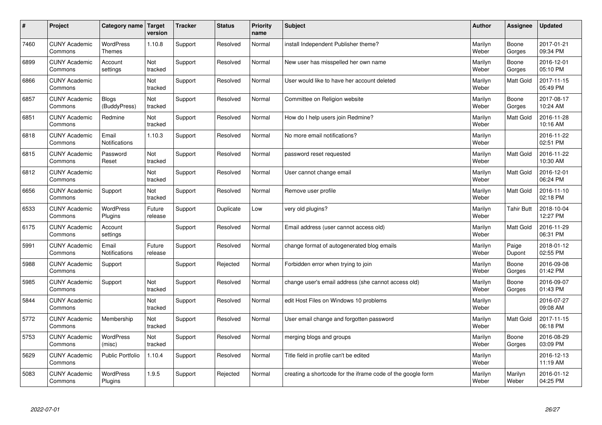| #    | Project                         | Category name                     | <b>Target</b><br>version | <b>Tracker</b> | <b>Status</b> | <b>Priority</b><br>name | Subject                                                     | <b>Author</b>    | Assignee          | <b>Updated</b>         |
|------|---------------------------------|-----------------------------------|--------------------------|----------------|---------------|-------------------------|-------------------------------------------------------------|------------------|-------------------|------------------------|
| 7460 | <b>CUNY Academic</b><br>Commons | <b>WordPress</b><br><b>Themes</b> | 1.10.8                   | Support        | Resolved      | Normal                  | install Independent Publisher theme?                        | Marilyn<br>Weber | Boone<br>Gorges   | 2017-01-21<br>09:34 PM |
| 6899 | <b>CUNY Academic</b><br>Commons | Account<br>settings               | Not<br>tracked           | Support        | Resolved      | Normal                  | New user has misspelled her own name                        | Marilyn<br>Weber | Boone<br>Gorges   | 2016-12-01<br>05:10 PM |
| 6866 | <b>CUNY Academic</b><br>Commons |                                   | Not<br>tracked           | Support        | Resolved      | Normal                  | User would like to have her account deleted                 | Marilyn<br>Weber | Matt Gold         | 2017-11-15<br>05:49 PM |
| 6857 | <b>CUNY Academic</b><br>Commons | <b>Blogs</b><br>(BuddyPress)      | Not<br>tracked           | Support        | Resolved      | Normal                  | Committee on Religion website                               | Marilyn<br>Weber | Boone<br>Gorges   | 2017-08-17<br>10:24 AM |
| 6851 | <b>CUNY Academic</b><br>Commons | Redmine                           | <b>Not</b><br>tracked    | Support        | Resolved      | Normal                  | How do I help users join Redmine?                           | Marilyn<br>Weber | <b>Matt Gold</b>  | 2016-11-28<br>10:16 AM |
| 6818 | <b>CUNY Academic</b><br>Commons | Email<br><b>Notifications</b>     | 1.10.3                   | Support        | Resolved      | Normal                  | No more email notifications?                                | Marilyn<br>Weber |                   | 2016-11-22<br>02:51 PM |
| 6815 | <b>CUNY Academic</b><br>Commons | Password<br>Reset                 | Not<br>tracked           | Support        | Resolved      | Normal                  | password reset requested                                    | Marilyn<br>Weber | Matt Gold         | 2016-11-22<br>10:30 AM |
| 6812 | <b>CUNY Academic</b><br>Commons |                                   | Not<br>tracked           | Support        | Resolved      | Normal                  | User cannot change email                                    | Marilyn<br>Weber | Matt Gold         | 2016-12-01<br>06:24 PM |
| 6656 | <b>CUNY Academic</b><br>Commons | Support                           | Not<br>tracked           | Support        | Resolved      | Normal                  | Remove user profile                                         | Marilyn<br>Weber | <b>Matt Gold</b>  | 2016-11-10<br>02:18 PM |
| 6533 | <b>CUNY Academic</b><br>Commons | <b>WordPress</b><br>Plugins       | Future<br>release        | Support        | Duplicate     | Low                     | very old plugins?                                           | Marilyn<br>Weber | <b>Tahir Butt</b> | 2018-10-04<br>12:27 PM |
| 6175 | <b>CUNY Academic</b><br>Commons | Account<br>settings               |                          | Support        | Resolved      | Normal                  | Email address (user cannot access old)                      | Marilyn<br>Weber | Matt Gold         | 2016-11-29<br>06:31 PM |
| 5991 | <b>CUNY Academic</b><br>Commons | Email<br><b>Notifications</b>     | Future<br>release        | Support        | Resolved      | Normal                  | change format of autogenerated blog emails                  | Marilyn<br>Weber | Paige<br>Dupont   | 2018-01-12<br>02:55 PM |
| 5988 | <b>CUNY Academic</b><br>Commons | Support                           |                          | Support        | Rejected      | Normal                  | Forbidden error when trying to join                         | Marilyn<br>Weber | Boone<br>Gorges   | 2016-09-08<br>01:42 PM |
| 5985 | <b>CUNY Academic</b><br>Commons | Support                           | Not<br>tracked           | Support        | Resolved      | Normal                  | change user's email address (she cannot access old)         | Marilyn<br>Weber | Boone<br>Gorges   | 2016-09-07<br>01:43 PM |
| 5844 | <b>CUNY Academic</b><br>Commons |                                   | Not<br>tracked           | Support        | Resolved      | Normal                  | edit Host Files on Windows 10 problems                      | Marilyn<br>Weber |                   | 2016-07-27<br>09:08 AM |
| 5772 | <b>CUNY Academic</b><br>Commons | Membership                        | Not<br>tracked           | Support        | Resolved      | Normal                  | User email change and forgotten password                    | Marilyn<br>Weber | Matt Gold         | 2017-11-15<br>06:18 PM |
| 5753 | <b>CUNY Academic</b><br>Commons | WordPress<br>(misc)               | Not<br>tracked           | Support        | Resolved      | Normal                  | merging blogs and groups                                    | Marilyn<br>Weber | Boone<br>Gorges   | 2016-08-29<br>03:09 PM |
| 5629 | <b>CUNY Academic</b><br>Commons | <b>Public Portfolio</b>           | 1.10.4                   | Support        | Resolved      | Normal                  | Title field in profile can't be edited                      | Marilyn<br>Weber |                   | 2016-12-13<br>11:19 AM |
| 5083 | <b>CUNY Academic</b><br>Commons | <b>WordPress</b><br>Plugins       | 1.9.5                    | Support        | Rejected      | Normal                  | creating a shortcode for the iframe code of the google form | Marilyn<br>Weber | Marilyn<br>Weber  | 2016-01-12<br>04:25 PM |